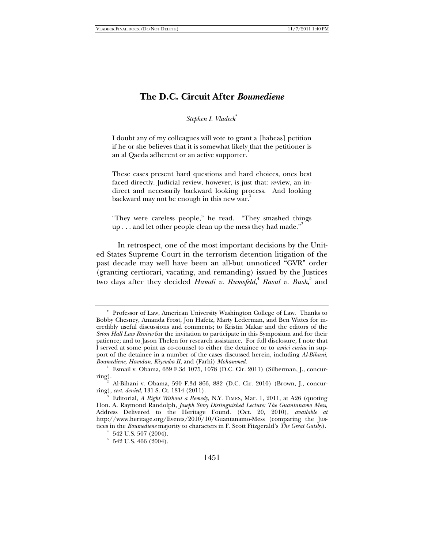# **The D.C. Circuit After** *Boumediene*

*Stephen I. Vladeck*<sup>∗</sup>

I doubt any of my colleagues will vote to grant a [habeas] petition if he or she believes that it is somewhat likely that the petitioner is an al Qaeda adherent or an active supporter.<sup>1</sup>

These cases present hard questions and hard choices, ones best faced directly. Judicial review, however, is just that: *review*, an indirect and necessarily backward looking process. And looking backward may not be enough in this new war.

"They were careless people," he read. "They smashed things up . . . and let other people clean up the mess they had made."<sup>3</sup>

 In retrospect, one of the most important decisions by the United States Supreme Court in the terrorism detention litigation of the past decade may well have been an all-but unnoticed "GVR" order (granting certiorari, vacating, and remanding) issued by the Justices two days after they decided *Hamdi v. Rumsfeld*,<sup>4</sup> Rasul v. Bush,<sup>5</sup> and

<sup>∗</sup> Professor of Law, American University Washington College of Law. Thanks to Bobby Chesney, Amanda Frost, Jon Hafetz, Marty Lederman, and Ben Wittes for incredibly useful discussions and comments; to Kristin Makar and the editors of the *Seton Hall Law Review* for the invitation to participate in this Symposium and for their patience; and to Jason Thelen for research assistance. For full disclosure, I note that I served at some point as co-counsel to either the detainee or to *amici curiae* in support of the detainee in a number of the cases discussed herein, including *Al-Bihani*, *Boumediene*, *Hamdan*, *Kiyemba II*, and (Farhi) *Mohammed*. 1

Esmail v. Obama, 639 F.3d 1075, 1078 (D.C. Cir. 2011) (Silberman, J., concurring). 2

Al-Bihani v. Obama, 590 F.3d 866, 882 (D.C. Cir. 2010) (Brown, J., concurring), *cert. denied*, 131 S. Ct. 1814 (2011). 3

Editorial, *A Right Without a Remedy*, N.Y. TIMES, Mar. 1, 2011, at A26 (quoting Hon. A. Raymond Randolph, *Joseph Story Distinguished Lecture: The Guantanamo Mess*, Address Delivered to the Heritage Found. (Oct. 20, 2010), *available at*  http://www.heritage.org/Events/2010/10/Guantanamo-Mess (comparing the Justices in the *Boumediene* majority to characters in F. Scott Fitzgerald's *The Great Gatsby*). 4

 $4\,$  542 U.S. 507 (2004).

 $5\,$  542 U.S. 466 (2004).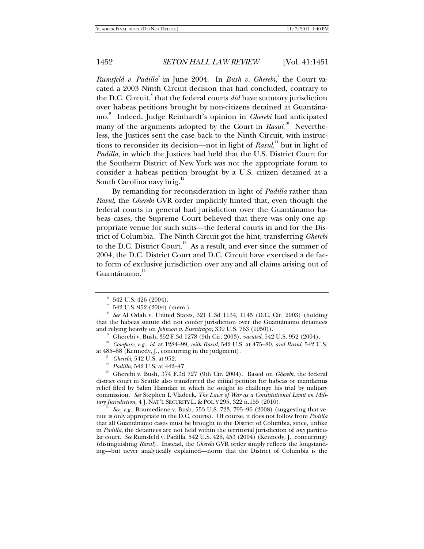*Rumsfeld v. Padilla*<sup>6</sup> in June 2004. In *Bush v. Gherebi*,<sup>7</sup> the Court vacated a 2003 Ninth Circuit decision that had concluded, contrary to the D.C. Circuit,<sup>8</sup> that the federal courts *did* have statutory jurisdiction over habeas petitions brought by non-citizens detained at Guantánamo.<sup>9</sup> Indeed, Judge Reinhardt's opinion in *Gherebi* had anticipated many of the arguments adopted by the Court in *Rasul.*<sup>10</sup> Nevertheless, the Justices sent the case back to the Ninth Circuit, with instructions to reconsider its decision—not in light of *Rasul*,<sup>11</sup> but in light of *Padilla*, in which the Justices had held that the U.S. District Court for the Southern District of New York was not the appropriate forum to consider a habeas petition brought by a U.S. citizen detained at a South Carolina navy brig.<sup>12</sup>

By remanding for reconsideration in light of *Padilla* rather than *Rasul*, the *Gherebi* GVR order implicitly hinted that, even though the federal courts in general had jurisdiction over the Guantánamo habeas cases, the Supreme Court believed that there was only one appropriate venue for such suits—the federal courts in and for the District of Columbia. The Ninth Circuit got the hint, transferring *Gherebi* to the D.C. District Court.<sup>13</sup> As a result, and ever since the summer of 2004, the D.C. District Court and D.C. Circuit have exercised a de facto form of exclusive jurisdiction over any and all claims arising out of Guantánamo.<sup>14</sup>

nue is only appropriate in the D.C. courts). Of course, it does not follow from *Padilla* that all Guantánamo cases must be brought in the District of Columbia, since, unlike in *Padilla*, the detainees are not held within the territorial jurisdiction of *any* particular court. *See* Rumsfeld v. Padilla, 542 U.S. 426, 453 (2004) (Kennedy, J., concurring) (distinguishing *Rasul*). Instead, the *Gherebi* GVR order simply reflects the longstanding—but never analytically explained—norm that the District of Columbia is the

<sup>6</sup> 542 U.S. 426 (2004).

<sup>7</sup> 542 U.S. 952 (2004) (mem.).

<sup>8</sup>  *See* Al Odah v. United States, 321 F.3d 1134, 1145 (D.C. Cir. 2003) (holding that the habeas statute did not confer jurisdiction over the Guantánamo detainees and relying heavily on *Johnson v. Eisentrager*, 339 U.S. 763 (1950)).<br><sup>9</sup> Gherebi v. Bush, 352 F.3d 1278 (9th Cir. 2003), *vacated*, 542 U.S. 952 (2004).

<sup>&</sup>lt;sup>10</sup> Compare, e.g., *id.* at 1284–99, *with Rasul*, 542 U.S. at 475–80, *and Rasul*, 542 U.S. at 485–88 (Kennedy, J., concurring in the judgment).

<sup>&</sup>lt;sup>11</sup> Gherebi, 542 U.S. at 952.<br><sup>12</sup> *Padilla*, 542 U.S. at 442–47.<br><sup>13</sup> Gherebi v. Bush, 374 F.3d 727 (9th Cir. 2004). Based on *Gherebi*, the federal district court in Seattle also transferred the initial petition for habeas or mandamus relief filed by Salim Hamdan in which he sought to challenge his trial by military commission. *See* Stephen I. Vladeck, *The Laws of War as a Constitutional Limit on Military Jurisdiction*, 4 J. NAT'L SECURITY L. & POL'Y 295, 322 n.155 (2010).<br><sup>14</sup> *See, e.g.*, Boumediene v. Bush, 553 U.S. 723, 795–96 (2008) (suggesting that ve-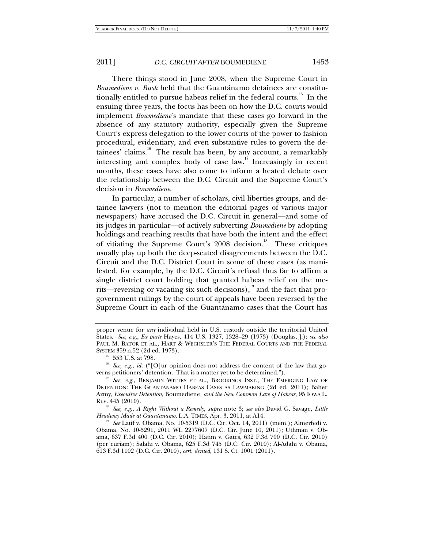There things stood in June 2008, when the Supreme Court in *Boumediene v. Bush* held that the Guantánamo detainees are constitutionally entitled to pursue habeas relief in the federal courts.<sup>15</sup> In the ensuing three years, the focus has been on how the D.C. courts would implement *Boumediene*'s mandate that these cases go forward in the absence of any statutory authority, especially given the Supreme Court's express delegation to the lower courts of the power to fashion procedural, evidentiary, and even substantive rules to govern the detainees' claims.<sup>16</sup> The result has been, by any account, a remarkably interesting and complex body of case law.<sup>17</sup> Increasingly in recent months, these cases have also come to inform a heated debate over the relationship between the D.C. Circuit and the Supreme Court's decision in *Boumediene*.

In particular, a number of scholars, civil liberties groups, and detainee lawyers (not to mention the editorial pages of various major newspapers) have accused the D.C. Circuit in general—and some of its judges in particular—of actively subverting *Boumediene* by adopting holdings and reaching results that have both the intent and the effect of vitiating the Supreme Court's  $2008$  decision.<sup>18</sup> These critiques usually play up both the deep-seated disagreements between the D.C. Circuit and the D.C. District Court in some of these cases (as manifested, for example, by the D.C. Circuit's refusal thus far to affirm a single district court holding that granted habeas relief on the merits—reversing or vacating six such decisions), $\frac{19}{19}$  and the fact that progovernment rulings by the court of appeals have been reversed by the Supreme Court in each of the Guantánamo cases that the Court has

<sup>18</sup> *See, e.g.*, *A Right Without a Remedy*, *supra* note 3; *see also* David G. Savage, *Little* 

<sup>19</sup> See Latif v. Obama, No. 10-5319 (D.C. Cir. Oct. 14, 2011) (mem.); Almerfedi v. Obama, No. 10-5291, 2011 WL 2277607 (D.C. Cir. June 10, 2011); Uthman v. Obama, 637 F.3d 400 (D.C. Cir. 2010); Hatim v. Gates, 632 F.3d 700 (D.C. Cir. 2010) (per curiam); Salahi v. Obama, 625 F.3d 745 (D.C. Cir. 2010); Al-Adahi v. Obama, 613 F.3d 1102 (D.C. Cir. 2010), *cert. denied*, 131 S. Ct. 1001 (2011).

proper venue for *any* individual held in U.S. custody outside the territorial United States. *See, e.g.*, *Ex parte* Hayes, 414 U.S. 1327, 1328–29 (1973) (Douglas, J.); *see also*  PAUL M. BATOR ET AL., HART & WECHSLER'S THE FEDERAL COURTS AND THE FEDERAL SYSTEM 359 n.52 (2d ed. 1973). 15 553 U.S. at 798.

<sup>&</sup>lt;sup>16</sup> See, e.g., *id.* ("[O]ur opinion does not address the content of the law that governs petitioners' detention. That is a matter yet to be determined."). 17 *See, e.g.*, BENJAMIN WITTES ET AL., BROOKINGS INST., THE EMERGING LAW OF

DETENTION: THE GUANTÁNAMO HABEAS CASES AS LAWMAKING (2d ed. 2011); Baher Azmy, *Executive Detention*, Boumediene*, and the New Common Law of Habeas*, 95 IOWA L. REV. 445 (2010).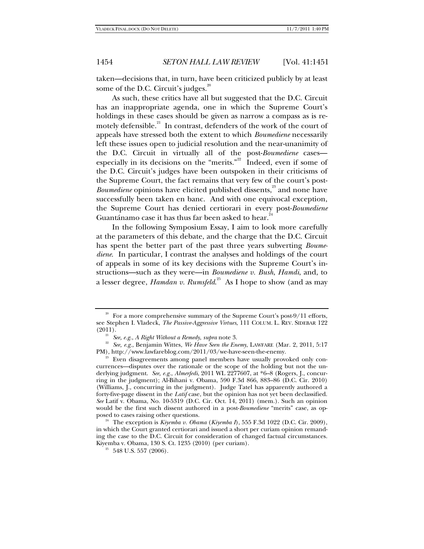taken—decisions that, in turn, have been criticized publicly by at least some of the D.C. Circuit's judges. $2^{20}$ 

As such, these critics have all but suggested that the D.C. Circuit has an inappropriate agenda, one in which the Supreme Court's holdings in these cases should be given as narrow a compass as is remotely defensible.<sup>21</sup> In contrast, defenders of the work of the court of appeals have stressed both the extent to which *Boumediene* necessarily left these issues open to judicial resolution and the near-unanimity of the D.C. Circuit in virtually all of the post-*Boumediene* cases especially in its decisions on the "merits."<sup>22</sup> Indeed, even if some of the D.C. Circuit's judges have been outspoken in their criticisms of the Supreme Court, the fact remains that very few of the court's post-*Boumediene* opinions have elicited published dissents,<sup>23</sup> and none have successfully been taken en banc. And with one equivocal exception, the Supreme Court has denied certiorari in every post-*Boumediene* Guantánamo case it has thus far been asked to hear.<sup>2</sup>

In the following Symposium Essay, I aim to look more carefully at the parameters of this debate, and the charge that the D.C. Circuit has spent the better part of the past three years subverting *Boumediene*. In particular, I contrast the analyses and holdings of the court of appeals in some of its key decisions with the Supreme Court's instructions—such as they were—in *Boumediene v. Bush*, *Hamdi*, and, to a lesser degree, *Hamdan v. Rumsfeld*.<sup>25</sup> As I hope to show (and as may

 $20$  For a more comprehensive summary of the Supreme Court's post-9/11 efforts, see Stephen I. Vladeck, *The Passive-Aggressive Virtues*, 111 COLUM. L. REV. SIDEBAR 122

<sup>(2011).&</sup>lt;br><sup>21</sup> *See, e.g., A Right Without a Remedy, supra* note 3.<br><sup>22</sup> *See, e.g.*, Benjamin Wittes, *We Have Seen the Enemy*, LAWFARE (Mar. 2, 2011, 5:17<br>PM), http://www.lawfareblog.com/2011/03/we-have-seen-the-enemy.

Even disagreements among panel members have usually provoked only concurrences—disputes over the rationale or the scope of the holding but not the underlying judgment. *See, e.g.*, *Almerfedi*, 2011 WL 2277607, at \*6–8 (Rogers, J., concurring in the judgment); Al-Bihani v. Obama, 590 F.3d 866, 883–86 (D.C. Cir. 2010) (Williams, J., concurring in the judgment). Judge Tatel has apparently authored a forty-five-page dissent in the *Latif* case, but the opinion has not yet been declassified. *See* Latif v. Obama, No. 10-5319 (D.C. Cir. Oct. 14, 2011) (mem.). Such an opinion would be the first such dissent authored in a post-*Boumediene* "merits" case, as op-

<sup>&</sup>lt;sup>24</sup> The exception is *Kiyemba v. Obama* (*Kiyemba I*), 555 F.3d 1022 (D.C. Cir. 2009), in which the Court granted certiorari and issued a short per curiam opinion remanding the case to the D.C. Circuit for consideration of changed factual circumstances. Kiyemba v. Obama, 130 S. Ct. 1235 (2010) (per curiam).

<sup>548</sup> U.S. 557 (2006).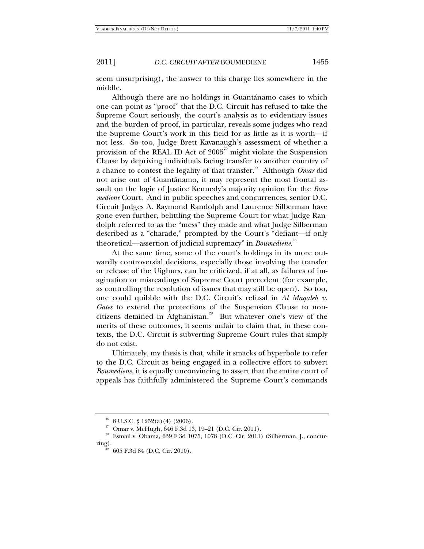seem unsurprising), the answer to this charge lies somewhere in the middle.

Although there are no holdings in Guantánamo cases to which one can point as "proof" that the D.C. Circuit has refused to take the Supreme Court seriously, the court's analysis as to evidentiary issues and the burden of proof, in particular, reveals some judges who read the Supreme Court's work in this field for as little as it is worth—if not less. So too, Judge Brett Kavanaugh's assessment of whether a provision of the REAL ID Act of  $2005<sup>26</sup>$  might violate the Suspension Clause by depriving individuals facing transfer to another country of a chance to contest the legality of that transfer.<sup>27</sup> Although *Omar* did not arise out of Guantánamo, it may represent the most frontal assault on the logic of Justice Kennedy's majority opinion for the *Boumediene* Court. And in public speeches and concurrences, senior D.C. Circuit Judges A. Raymond Randolph and Laurence Silberman have gone even further, belittling the Supreme Court for what Judge Randolph referred to as the "mess" they made and what Judge Silberman described as a "charade," prompted by the Court's "defiant—if only theoretical—assertion of judicial supremacy" in *Boumediene*. 28

At the same time, some of the court's holdings in its more outwardly controversial decisions, especially those involving the transfer or release of the Uighurs, can be criticized, if at all, as failures of imagination or misreadings of Supreme Court precedent (for example, as controlling the resolution of issues that may still be open). So too, one could quibble with the D.C. Circuit's refusal in *Al Maqaleh v. Gates* to extend the protections of the Suspension Clause to noncitizens detained in Afghanistan.<sup>29</sup> But whatever one's view of the merits of these outcomes, it seems unfair to claim that, in these contexts, the D.C. Circuit is subverting Supreme Court rules that simply do not exist.

Ultimately, my thesis is that, while it smacks of hyperbole to refer to the D.C. Circuit as being engaged in a collective effort to subvert *Boumediene*, it is equally unconvincing to assert that the entire court of appeals has faithfully administered the Supreme Court's commands

 $26$  8 U.S.C. § 1252(a)(4)(2006).

<sup>27</sup> Omar v. McHugh, 646 F.3d 13, 19–21 (D.C. Cir. 2011).

<sup>28</sup> Esmail v. Obama, 639 F.3d 1075, 1078 (D.C. Cir. 2011) (Silberman, J., concurring).<br><sup>29</sup> 605 F.3d 84 (D.C. Cir. 2010).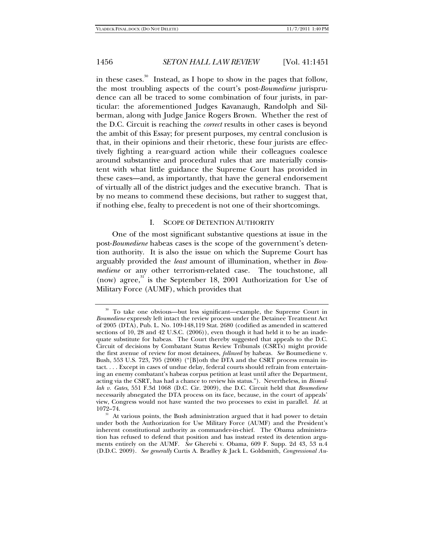in these cases.<sup>30</sup> Instead, as I hope to show in the pages that follow, the most troubling aspects of the court's post-*Boumediene* jurisprudence can all be traced to some combination of four jurists, in particular: the aforementioned Judges Kavanaugh, Randolph and Silberman, along with Judge Janice Rogers Brown. Whether the rest of the D.C. Circuit is reaching the *correct* results in other cases is beyond the ambit of this Essay; for present purposes, my central conclusion is that, in their opinions and their rhetoric, these four jurists are effectively fighting a rear-guard action while their colleagues coalesce around substantive and procedural rules that are materially consistent with what little guidance the Supreme Court has provided in these cases—and, as importantly, that have the general endorsement of virtually all of the district judges and the executive branch. That is by no means to commend these decisions, but rather to suggest that, if nothing else, fealty to precedent is not one of their shortcomings.

### I. SCOPE OF DETENTION AUTHORITY

One of the most significant substantive questions at issue in the post-*Boumediene* habeas cases is the scope of the government's detention authority. It is also the issue on which the Supreme Court has arguably provided the *least* amount of illumination, whether in *Boumediene* or any other terrorism-related case. The touchstone, all (now) agree,<sup>31</sup> is the September 18, 2001 Authorization for Use of Military Force (AUMF), which provides that

<sup>&</sup>lt;sup>30</sup> To take one obvious—but less significant—example, the Supreme Court in *Boumediene* expressly left intact the review process under the Detainee Treatment Act of 2005 (DTA), Pub. L. No. 109-148,119 Stat. 2680 (codified as amended in scattered sections of 10, 28 and 42 U.S.C. (2006)), even though it had held it to be an inadequate substitute for habeas. The Court thereby suggested that appeals to the D.C. Circuit of decisions by Combatant Status Review Tribunals (CSRTs) might provide the first avenue of review for most detainees, *followed* by habeas. *See* Boumediene v. Bush, 553 U.S. 723, 795 (2008) ("[B]oth the DTA and the CSRT process remain intact. . . . Except in cases of undue delay, federal courts should refrain from entertaining an enemy combatant's habeas corpus petition at least until after the Department, acting via the CSRT, has had a chance to review his status."). Nevertheless, in *Bismullah v. Gates*, 551 F.3d 1068 (D.C. Cir. 2009), the D.C. Circuit held that *Boumediene* necessarily abnegated the DTA process on its face, because, in the court of appeals' view, Congress would not have wanted the two processes to exist in parallel. *Id.* at

 $10^{31}$  At various points, the Bush administration argued that it had power to detain under both the Authorization for Use Military Force (AUMF) and the President's inherent constitutional authority as commander-in-chief. The Obama administration has refused to defend that position and has instead rested its detention arguments entirely on the AUMF. *See* Gherebi v. Obama, 609 F. Supp. 2d 43, 53 n.4 (D.D.C. 2009). *See generally* Curtis A. Bradley & Jack L. Goldsmith, *Congressional Au-*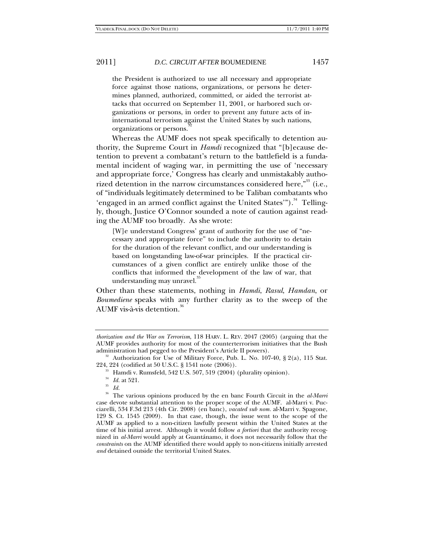the President is authorized to use all necessary and appropriate force against those nations, organizations, or persons he determines planned, authorized, committed, or aided the terrorist attacks that occurred on September 11, 2001, or harbored such organizations or persons, in order to prevent any future acts of ininternational terrorism against the United States by such nations, organizations or persons.

Whereas the AUMF does not speak specifically to detention authority, the Supreme Court in *Hamdi* recognized that "[b]ecause detention to prevent a combatant's return to the battlefield is a fundamental incident of waging war, in permitting the use of 'necessary and appropriate force,' Congress has clearly and unmistakably authorized detention in the narrow circumstances considered here,<sup> $^{33}$ </sup> (i.e., of "individuals legitimately determined to be Taliban combatants who 'engaged in an armed conflict against the United States'").<sup>34</sup> Tellingly, though, Justice O'Connor sounded a note of caution against reading the AUMF too broadly. As she wrote:

[W]e understand Congress' grant of authority for the use of "necessary and appropriate force" to include the authority to detain for the duration of the relevant conflict, and our understanding is based on longstanding law-of-war principles. If the practical circumstances of a given conflict are entirely unlike those of the conflicts that informed the development of the law of war, that understanding may unravel.

Other than these statements, nothing in *Hamdi*, *Rasul*, *Hamdan*, or *Boumediene* speaks with any further clarity as to the sweep of the AUMF vis-à-vis detention.

*thorization and the War on Terrorism*, 118 HARV. L. REV. 2047 (2005) (arguing that the AUMF provides authority for most of the counterterrorism initiatives that the Bush

administration had pegged to the President's Article II powers).<br><sup>32</sup> Authorization for Use of Military Force, Pub. L. No. 107-40, § 2(a), 115 Stat.<br>224, 224 (codified at 50 U.S.C. § 1541 note (2006)).

 $233$  Hamdi v. Rumsfeld, 542 U.S. 507, 519 (2004) (plurality opinion).

<sup>34</sup> *Id.* at 521. 35 *Id.*

<sup>36</sup> The various opinions produced by the en banc Fourth Circuit in the *al-Marri* case devote substantial attention to the proper scope of the AUMF. al-Marri v. Pucciarelli, 534 F.3d 213 (4th Cir. 2008) (en banc), *vacated sub nom.* al-Marri v. Spagone, 129 S. Ct. 1545 (2009). In that case, though, the issue went to the scope of the AUMF as applied to a non-citizen lawfully present within the United States at the time of his initial arrest. Although it would follow *a fortiori* that the authority recognized in *al-Marri* would apply at Guantánamo, it does not necessarily follow that the *constraints* on the AUMF identified there would apply to non-citizens initially arrested *and* detained outside the territorial United States.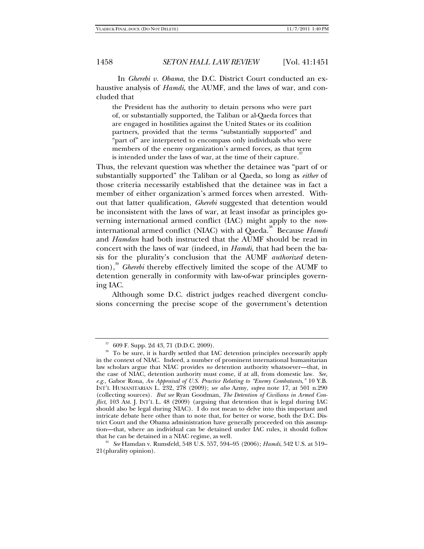In *Gherebi v. Obama*, the D.C. District Court conducted an exhaustive analysis of *Hamdi*, the AUMF, and the laws of war, and concluded that

the President has the authority to detain persons who were part of, or substantially supported, the Taliban or al-Qaeda forces that are engaged in hostilities against the United States or its coalition partners, provided that the terms "substantially supported" and "part of" are interpreted to encompass only individuals who were members of the enemy organization's armed forces, as that term is intended under the laws of war, at the time of their capture.<sup>37</sup>

Thus, the relevant question was whether the detainee was "part of or substantially supported" the Taliban or al Qaeda, so long as *either* of those criteria necessarily established that the detainee was in fact a member of either organization's armed forces when arrested. Without that latter qualification, *Gherebi* suggested that detention would be inconsistent with the laws of war, at least insofar as principles governing international armed conflict (IAC) might apply to the *non*international armed conflict (NIAC) with al Qaeda.<sup>38</sup> Because *Hamdi* and *Hamdan* had both instructed that the AUMF should be read in concert with the laws of war (indeed, in *Hamdi*, that had been the basis for the plurality's conclusion that the AUMF *authorized* detention),<sup>39</sup> *Gherebi* thereby effectively limited the scope of the AUMF to detention generally in conformity with law-of-war principles governing IAC.

Although some D.C. district judges reached divergent conclusions concerning the precise scope of the government's detention

 $37$  609 F. Supp. 2d 43, 71 (D.D.C. 2009).

<sup>&</sup>lt;sup>38</sup> To be sure, it is hardly settled that IAC detention principles necessarily apply in the context of NIAC. Indeed, a number of prominent international humanitarian law scholars argue that NIAC provides *no* detention authority whatsoever—that, in the case of NIAC, detention authority must come, if at all, from domestic law. *See, e.g.*, Gabor Rona, *An Appraisal of U.S. Practice Relating to "Enemy Combatants*,*"* 10 Y.B. INT'L HUMANITARIAN L. 232, 278 (2009); *see also* Azmy, *supra* note 17, at 501 n.290 (collecting sources). *But see* Ryan Goodman, *The Detention of Civilians in Armed Conflict*, 103 AM. J. INT'L L. 48 (2009) (arguing that detention that is legal during IAC should also be legal during NIAC). I do not mean to delve into this important and intricate debate here other than to note that, for better or worse, both the D.C. District Court and the Obama administration have generally proceeded on this assumption—that, where an individual can be detained under IAC rules, it should follow that he can be detained in a NIAC regime, as well. 39 *See* Hamdan v. Rumsfeld, 548 U.S. 557, 594–95 (2006); *Hamdi*, 542 U.S. at 519–

<sup>21(</sup>plurality opinion).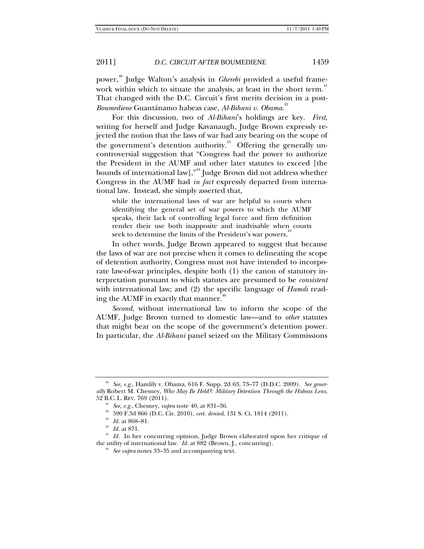power,40 Judge Walton's analysis in *Gherebi* provided a useful framework within which to situate the analysis, at least in the short term.<sup>41</sup> That changed with the D.C. Circuit's first merits decision in a post-*Boumediene* Guantánamo habeas case, *Al-Bihani v. Obama*. 42

For this discussion, two of *Al-Bihani*'s holdings are key. *First*, writing for herself and Judge Kavanaugh, Judge Brown expressly rejected the notion that the laws of war had any bearing on the scope of the government's detention authority.<sup> $43$ </sup> Offering the generally uncontroversial suggestion that "Congress had the power to authorize the President in the AUMF and other later statutes to exceed [the bounds of international law],"44 Judge Brown did not address whether Congress in the AUMF had *in fact* expressly departed from international law. Instead, she simply asserted that,

while the international laws of war are helpful to courts when identifying the general set of war powers to which the AUMF speaks, their lack of controlling legal force and firm definition render their use both inapposite and inadvisable when courts seek to determine the limits of the President's war powers.<sup>\*\*</sup>

In other words, Judge Brown appeared to suggest that because the laws of war are not precise when it comes to delineating the scope of detention authority, Congress must not have intended to incorporate law-of-war principles, despite both (1) the canon of statutory interpretation pursuant to which statutes are presumed to be *consistent* with international law; and (2) the specific language of *Hamdi* reading the AUMF in exactly that manner.<sup>46</sup>

*Second*, without international law to inform the scope of the AUMF, Judge Brown turned to domestic law—and to *other* statutes that might bear on the scope of the government's detention power. In particular, the *Al-Bihani* panel seized on the Military Commissions

<sup>40</sup> *See, e.g.*, Hamlily v. Obama, 616 F. Supp. 2d 63, 73–77 (D.D.C. 2009). *See generally* Robert M. Chesney, *Who May Be Held?: Military Detention Through the Habeas Lens*, 52 B.C. L. REV. 769 (2011). 41 *See, e.g.*, Chesney, *supra* note 40, at 831–36.

<sup>&</sup>lt;sup>43</sup> Id. at 868–81.<br><sup>44</sup> Id. at 871.<br><sup>45</sup> Id. In her concurring opinion, Judge Brown elaborated upon her critique of the utility of international law. *Id.* at 882 (Brown, J., concurring). 46 *See supra* notes 33–35 and accompanying text.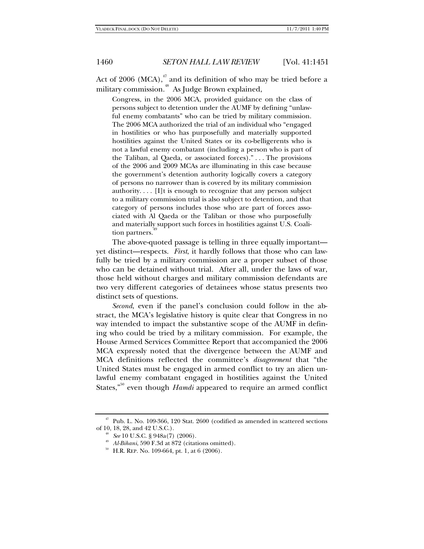Act of 2006 (MCA), $^{47}$  and its definition of who may be tried before a military commission.<sup>48</sup> As Judge Brown explained,

Congress, in the 2006 MCA, provided guidance on the class of persons subject to detention under the AUMF by defining "unlawful enemy combatants" who can be tried by military commission. The 2006 MCA authorized the trial of an individual who "engaged in hostilities or who has purposefully and materially supported hostilities against the United States or its co-belligerents who is not a lawful enemy combatant (including a person who is part of the Taliban, al Qaeda, or associated forces)." . . . The provisions of the 2006 and 2009 MCAs are illuminating in this case because the government's detention authority logically covers a category of persons no narrower than is covered by its military commission authority. . . . [I]t is enough to recognize that any person subject to a military commission trial is also subject to detention, and that category of persons includes those who are part of forces associated with Al Qaeda or the Taliban or those who purposefully and materially support such forces in hostilities against U.S. Coalition partners.

The above-quoted passage is telling in three equally important yet distinct—respects. *First*, it hardly follows that those who can lawfully be tried by a military commission are a proper subset of those who can be detained without trial. After all, under the laws of war, those held without charges and military commission defendants are two very different categories of detainees whose status presents two distinct sets of questions.

*Second*, even if the panel's conclusion could follow in the abstract, the MCA's legislative history is quite clear that Congress in no way intended to impact the substantive scope of the AUMF in defining who could be tried by a military commission. For example, the House Armed Services Committee Report that accompanied the 2006 MCA expressly noted that the divergence between the AUMF and MCA definitions reflected the committee's *disagreement* that "the United States must be engaged in armed conflict to try an alien unlawful enemy combatant engaged in hostilities against the United States,<sup>"50</sup> even though *Hamdi* appeared to require an armed conflict

<sup>&</sup>lt;sup>47</sup> Pub. L. No. 109-366, 120 Stat. 2600 (codified as amended in scattered sections of 10, 18, 28, and 42 U.S.C.).

<sup>&</sup>lt;sup>48</sup> See 10 U.S.C. § 948a(7) (2006).<br><sup>49</sup> Al-Bihani, 590 F.3d at 872 (citations omitted).<br><sup>50</sup> H.R. REP. No. 109-664, pt. 1, at 6 (2006).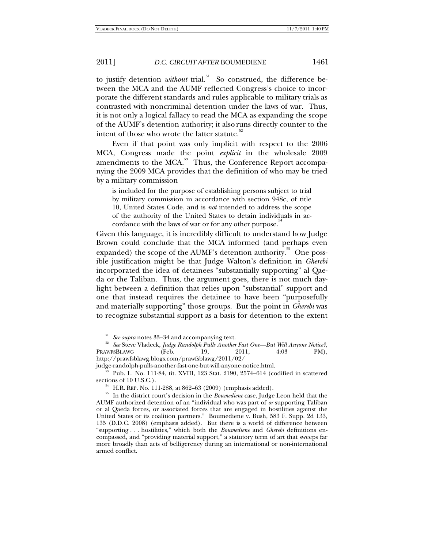to justify detention *without* trial.<sup>51</sup> So construed, the difference between the MCA and the AUMF reflected Congress's choice to incorporate the different standards and rules applicable to military trials as contrasted with noncriminal detention under the laws of war. Thus, it is not only a logical fallacy to read the MCA as expanding the scope of the AUMF's detention authority; it also runs directly counter to the intent of those who wrote the latter statute.<sup>32</sup>

Even if that point was only implicit with respect to the 2006 MCA, Congress made the point *explicit* in the wholesale 2009 amendments to the MCA.<sup>53</sup> Thus, the Conference Report accompanying the 2009 MCA provides that the definition of who may be tried by a military commission

is included for the purpose of establishing persons subject to trial by military commission in accordance with section 948c, of title 10, United States Code, and is *not* intended to address the scope of the authority of the United States to detain individuals in accordance with the laws of war or for any other purpose.<sup>54</sup>

Given this language, it is incredibly difficult to understand how Judge Brown could conclude that the MCA informed (and perhaps even expanded) the scope of the AUMF's detention authority.<sup>55</sup> One possible justification might be that Judge Walton's definition in *Gherebi* incorporated the idea of detainees "substantially supporting" al Qaeda or the Taliban. Thus, the argument goes, there is not much daylight between a definition that relies upon "substantial" support and one that instead requires the detainee to have been "purposefully and materially supporting" those groups. But the point in *Gherebi* was to recognize substantial support as a basis for detention to the extent

<sup>&</sup>lt;sup>51</sup> *See supra* notes 33–34 and accompanying text.<br><sup>52</sup> *See* Steve Vladeck, *Judge Randolph Pulls Another Fast One—But Will Anyone Notice?*, PRAWFSBLAWG (Feb. 19, 2011, 4:03 PM), http://prawfsblawg.blogs.com/prawfsblawg/2011/02/

 $^{53}$  Pub. L. No. 111-84, tit. XVIII, 123 Stat. 2190, 2574–614 (codified in scattered sections of 10 U.S.C.).

<sup>&</sup>lt;sup>54</sup> H.R. REP. No. 111-288, at 862–63 (2009) (emphasis added).<br><sup>55</sup> In the district court's decision in the *Boumediene* case, Judge Leon held that the AUMF authorized detention of an "individual who was part of *or* supporting Taliban or al Qaeda forces, or associated forces that are engaged in hostilities against the United States or its coalition partners." Boumediene v. Bush, 583 F. Supp. 2d 133, 135 (D.D.C. 2008) (emphasis added). But there is a world of difference between "supporting . . . hostilities," which both the *Boumediene* and *Gherebi* definitions encompassed, and "providing material support," a statutory term of art that sweeps far more broadly than acts of belligerency during an international or non-international armed conflict.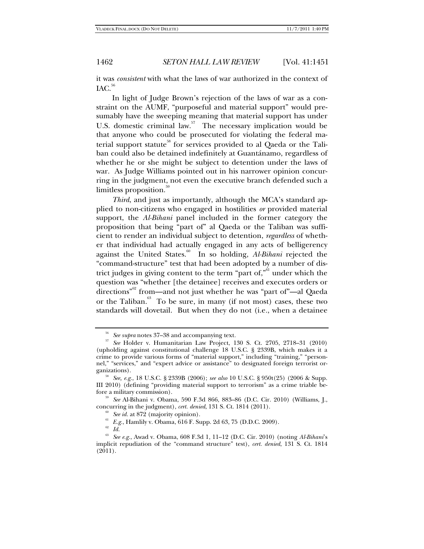it was *consistent* with what the laws of war authorized in the context of  $IAC.<sup>56</sup>$ 

In light of Judge Brown's rejection of the laws of war as a constraint on the AUMF, "purposeful and material support" would presumably have the sweeping meaning that material support has under U.S. domestic criminal law.<sup>57</sup> The necessary implication would be that anyone who could be prosecuted for violating the federal material support statute<sup>38</sup> for services provided to al Qaeda or the Taliban could also be detained indefinitely at Guantánamo, regardless of whether he or she might be subject to detention under the laws of war. As Judge Williams pointed out in his narrower opinion concurring in the judgment, not even the executive branch defended such a limitless proposition.<sup>39</sup>

*Third*, and just as importantly, although the MCA's standard applied to non-citizens who engaged in hostilities *or* provided material support, the *Al-Bihani* panel included in the former category the proposition that being "part of" al Qaeda or the Taliban was sufficient to render an individual subject to detention, *regardless* of whether that individual had actually engaged in any acts of belligerency against the United States.<sup>60</sup> In so holding, *Al-Bihani* rejected the "command-structure" test that had been adopted by a number of district judges in giving content to the term "part of, $"$ <sup>61</sup> under which the question was "whether [the detainee] receives and executes orders or directions<sup>"<sup>62</sup></sup> from—and not just whether he was "part of"—al Qaeda or the Taliban. $63$  To be sure, in many (if not most) cases, these two standards will dovetail. But when they do not (i.e*.*, when a detainee

<sup>56</sup> *See supra* notes 37–38 and accompanying text*.*

<sup>57</sup> *See* Holder v. Humanitarian Law Project, 130 S. Ct. 2705, 2718–31 (2010) (upholding against constitutional challenge 18 U.S.C. § 2339B, which makes it a crime to provide various forms of "material support," including "training," "personnel," "services," and "expert advice or assistance" to designated foreign terrorist organizations). 58 *See, e.g.*, 18 U.S.C. § 2339B (2006); *see also* 10 U.S.C. § 950t(25) (2006 & Supp.

III 2010) (defining "providing material support to terrorism" as a crime triable be-

<sup>&</sup>lt;sup>59</sup> See Al-Bihani v. Obama, 590 F.3d 866, 883–86 (D.C. Cir. 2010) (Williams, J., concurring in the judgment), *cert. denied*, 131 S. Ct. 1814 (2011).

<sup>&</sup>lt;sup>60</sup> See id. at 872 (majority opinion).<br><sup>61</sup> E.g., Hamlily v. Obama, 616 F. Supp. 2d 63, 75 (D.D.C. 2009).<br><sup>62</sup> *Id.* 

<sup>63</sup> *See e.g.*, Awad v. Obama, 608 F.3d 1, 11–12 (D.C. Cir. 2010) (noting *Al-Bihani*'s implicit repudiation of the "command structure" test), *cert. denied*, 131 S. Ct. 1814 (2011).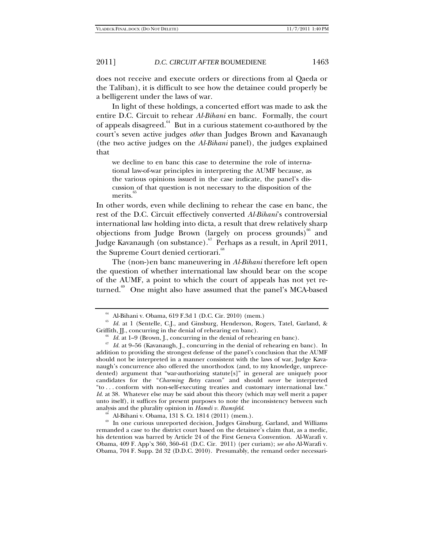does not receive and execute orders or directions from al Qaeda or the Taliban), it is difficult to see how the detainee could properly be a belligerent under the laws of war.

In light of these holdings, a concerted effort was made to ask the entire D.C. Circuit to rehear *Al-Bihani* en banc. Formally, the court of appeals disagreed.<sup>64</sup> But in a curious statement co-authored by the court's seven active judges *other* than Judges Brown and Kavanaugh (the two active judges on the *Al-Bihani* panel), the judges explained that

we decline to en banc this case to determine the role of international law-of-war principles in interpreting the AUMF because, as the various opinions issued in the case indicate, the panel's discussion of that question is not necessary to the disposition of the merits.

In other words, even while declining to rehear the case en banc, the rest of the D.C. Circuit effectively converted *Al-Bihani*'s controversial international law holding into dicta, a result that drew relatively sharp objections from Judge Brown (largely on process grounds) $^{66}$  and Judge Kavanaugh (on substance).<sup>67</sup> Perhaps as a result, in April 2011, the Supreme Court denied certiorari.<sup>68</sup>

The (non-)en banc maneuvering in *Al-Bihani* therefore left open the question of whether international law should bear on the scope of the AUMF, a point to which the court of appeals has not yet returned.<sup>69</sup> One might also have assumed that the panel's MCA-based

<sup>64</sup> Al-Bihani v. Obama, 619 F.3d 1 (D.C. Cir. 2010) (mem.)

 $65$  *Id.* at 1 (Sentelle, C.J., and Ginsburg, Henderson, Rogers, Tatel, Garland, & Griffith,  $\text{II}$ , concurring in the denial of rehearing en banc).

<sup>&</sup>lt;sup>66</sup> *Id.* at 1–9 (Brown, J., concurring in the denial of rehearing en banc).<br><sup>67</sup> *Id.* at 9–56 (Kavanaugh, J., concurring in the denial of rehearing en banc). In addition to providing the strongest defense of the panel's conclusion that the AUMF should not be interpreted in a manner consistent with the laws of war, Judge Kavanaugh's concurrence also offered the unorthodox (and, to my knowledge, unprecedented) argument that "war-authorizing statute[s]" in general are uniquely poor candidates for the "*Charming Betsy* canon" and should *never* be interpreted "to . . . conform with non-self-executing treaties and customary international law." *Id.* at 38. Whatever else may be said about this theory (which may well merit a paper unto itself), it suffices for present purposes to note the inconsistency between such analysis and the plurality opinion in *Hamdi v. Rumsfeld*.

Al-Bihani v. Obama, 131 S. Ct. 1814 (2011) (mem.).

<sup>&</sup>lt;sup>69</sup> In one curious unreported decision, Judges Ginsburg, Garland, and Williams remanded a case to the district court based on the detainee's claim that, as a medic, his detention was barred by Article 24 of the First Geneva Convention. Al-Warafi v. Obama, 409 F. App'x 360, 360–61 (D.C. Cir. 2011) (per curiam); *see also* Al-Warafi v. Obama, 704 F. Supp. 2d 32 (D.D.C. 2010). Presumably, the remand order necessari-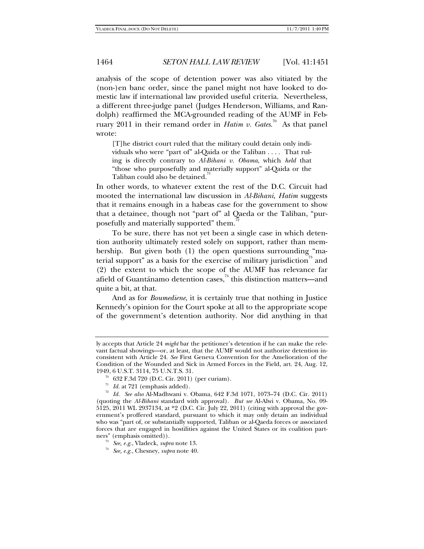analysis of the scope of detention power was also vitiated by the (non-)en banc order, since the panel might not have looked to domestic law if international law provided useful criteria. Nevertheless, a different three-judge panel (Judges Henderson, Williams, and Randolph) reaffirmed the MCA-grounded reading of the AUMF in February 2011 in their remand order in *Hatim v. Gates*. 70 As that panel wrote:

[T]he district court ruled that the military could detain only individuals who were "part of" al-Qaida or the Taliban . . . . That ruling is directly contrary to *Al-Bihani v. Obama*, which *held* that "those who purposefully and materially support" al-Qaida or the Taliban could also be detained.

In other words, to whatever extent the rest of the D.C. Circuit had mooted the international law discussion in *Al-Bihani*, *Hatim* suggests that it remains enough in a habeas case for the government to show that a detainee, though not "part of" al Qaeda or the Taliban, "purposefully and materially supported" them.<sup>1</sup>

To be sure, there has not yet been a single case in which detention authority ultimately rested solely on support, rather than membership. But given both (1) the open questions surrounding "material support" as a basis for the exercise of military jurisdiction<sup>73</sup> and (2) the extent to which the scope of the AUMF has relevance far afield of Guantánamo detention cases, $^{74}$  this distinction matters—and quite a bit, at that.

And as for *Boumediene*, it is certainly true that nothing in Justice Kennedy's opinion for the Court spoke at all to the appropriate scope of the government's detention authority. Nor did anything in that

ly accepts that Article 24 *might* bar the petitioner's detention if he can make the relevant factual showings—or, at least, that the AUMF would not authorize detention inconsistent with Article 24. *See* First Geneva Convention for the Amelioration of the Condition of the Wounded and Sick in Armed Forces in the Field, art. 24, Aug. 12, 1949, 6 U.S.T. 3114, 75 U.N.T.S. 31.

<sup>&</sup>lt;sup>70</sup> 632 F.3d 720 (D.C. Cir. 2011) (per curiam).<br><sup>71</sup> Id. at 721 (emphasis added).

<sup>&</sup>lt;sup>72</sup> Id. See also Al-Madhwani v. Obama, 642 F.3d 1071, 1073–74 (D.C. Cir. 2011) (quoting the *Al-Bihani* standard with approval). *But see* Al-Alwi v. Obama, No. 09- 5125, 2011 WL 2937134, at \*2 (D.C. Cir. July 22, 2011) (citing with approval the government's proffered standard, pursuant to which it may only detain an individual who was "part of, or substantially supported, Taliban or al-Qaeda forces or associated forces that are engaged in hostilities against the United States or its coalition part-

<sup>&</sup>lt;sup>73</sup> See, e.g., Vladeck, *supra* note 13.<br><sup>74</sup> See, e.g., Chesney, *supra* note 40.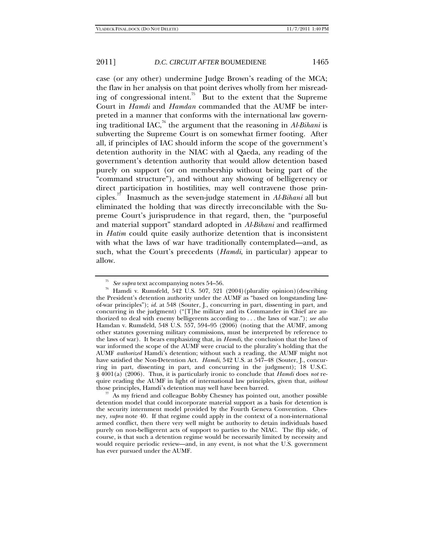case (or any other) undermine Judge Brown's reading of the MCA; the flaw in her analysis on that point derives wholly from her misreading of congressional intent.<sup>75</sup> But to the extent that the Supreme Court in *Hamdi* and *Hamdan* commanded that the AUMF be interpreted in a manner that conforms with the international law governing traditional IAC, $\alpha$ <sup>6</sup> the argument that the reasoning in *Al-Bihani* is subverting the Supreme Court is on somewhat firmer footing. After all, if principles of IAC should inform the scope of the government's detention authority in the NIAC with al Qaeda, any reading of the government's detention authority that would allow detention based purely on support (or on membership without being part of the "command structure"), and without any showing of belligerency or direct participation in hostilities, may well contravene those principles.77 Inasmuch as the seven-judge statement in *Al-Bihani* all but eliminated the holding that was directly irreconcilable with the Supreme Court's jurisprudence in that regard, then, the "purposeful and material support" standard adopted in *Al-Bihani* and reaffirmed in *Hatim* could quite easily authorize detention that is inconsistent with what the laws of war have traditionally contemplated—and, as such, what the Court's precedents (*Hamdi*, in particular) appear to allow.

<sup>&</sup>lt;sup>75</sup> See supra text accompanying notes 54–56.<br><sup>76</sup> Hamdi v. Rumsfeld, 542 U.S. 507, 521 (2004)(plurality opinion)(describing the President's detention authority under the AUMF as "based on longstanding lawof-war principles"); *id.* at 548 (Souter, J., concurring in part, dissenting in part, and concurring in the judgment) ("[T]he military and its Commander in Chief are authorized to deal with enemy belligerents according to . . . the laws of war."); *see also*  Hamdan v. Rumsfeld, 548 U.S. 557, 594–95 (2006) (noting that the AUMF, among other statutes governing military commissions, must be interpreted by reference to the laws of war). It bears emphasizing that, in *Hamdi*, the conclusion that the laws of war informed the scope of the AUMF were crucial to the plurality's holding that the AUMF *authorized* Hamdi's detention; without such a reading, the AUMF might not have satisfied the Non-Detention Act. *Hamdi*, 542 U.S. at 547–48 (Souter, J., concurring in part, dissenting in part, and concurring in the judgment); 18 U.S.C. § 4001(a) (2006). Thus, it is particularly ironic to conclude that *Hamdi* does *not* require reading the AUMF in light of international law principles, given that, *without*

 $\frac{77}{12}$  As my friend and colleague Bobby Chesney has pointed out, another possible detention model that could incorporate material support as a basis for detention is the security internment model provided by the Fourth Geneva Convention. Chesney, *supra* note 40. If that regime could apply in the context of a non-international armed conflict, then there very well might be authority to detain individuals based purely on non-belligerent acts of support to parties to the NIAC. The flip side, of course, is that such a detention regime would be necessarily limited by necessity and would require periodic review—and, in any event, is not what the U.S. government has ever pursued under the AUMF.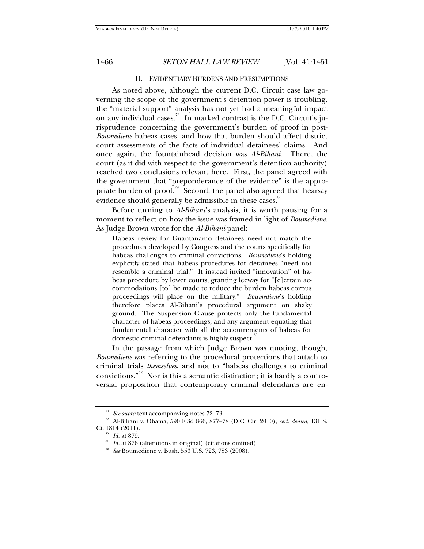### II. EVIDENTIARY BURDENS AND PRESUMPTIONS

As noted above, although the current D.C. Circuit case law governing the scope of the government's detention power is troubling, the "material support" analysis has not yet had a meaningful impact on any individual cases.<sup>78</sup> In marked contrast is the D.C. Circuit's jurisprudence concerning the government's burden of proof in post-*Boumediene* habeas cases, and how that burden should affect district court assessments of the facts of individual detainees' claims. And once again, the fountainhead decision was *Al-Bihani*. There, the court (as it did with respect to the government's detention authority) reached two conclusions relevant here. First, the panel agreed with the government that "preponderance of the evidence" is the appropriate burden of proof.<sup>79</sup> Second, the panel also agreed that hearsay evidence should generally be admissible in these cases.<sup>80</sup>

Before turning to *Al-Bihani*'s analysis, it is worth pausing for a moment to reflect on how the issue was framed in light of *Boumediene*. As Judge Brown wrote for the *Al-Bihani* panel:

Habeas review for Guantanamo detainees need not match the procedures developed by Congress and the courts specifically for habeas challenges to criminal convictions. *Boumediene*'s holding explicitly stated that habeas procedures for detainees "need not resemble a criminal trial." It instead invited "innovation" of habeas procedure by lower courts, granting leeway for "[c]ertain accommodations [to] be made to reduce the burden habeas corpus proceedings will place on the military." *Boumediene*'s holding therefore places Al-Bihani's procedural argument on shaky ground. The Suspension Clause protects only the fundamental character of habeas proceedings, and any argument equating that fundamental character with all the accoutrements of habeas for domestic criminal defendants is highly suspect.

In the passage from which Judge Brown was quoting, though, *Boumediene* was referring to the procedural protections that attach to criminal trials *themselves*, and not to "habeas challenges to criminal convictions." $82$  Nor is this a semantic distinction; it is hardly a controversial proposition that contemporary criminal defendants are en-

<sup>&</sup>lt;sup>78</sup> See supra text accompanying notes 72–73.<br><sup>79</sup> Al-Bihani v. Obama, 590 F.3d 866, 877–78 (D.C. Cir. 2010), *cert. denied*, 131 S.<br>Ct. 1814 (2011).

<sup>&</sup>lt;sup>80</sup> *Id.* at 879.<br><sup>81</sup> *Id.* at 876 (alterations in original) (citations omitted).<br><sup>82</sup> *See* Boumediene v. Bush, 553 U.S. 723, 783 (2008).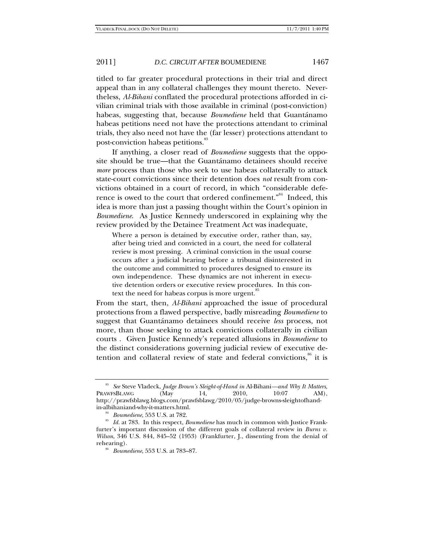titled to far greater procedural protections in their trial and direct appeal than in any collateral challenges they mount thereto. Nevertheless, *Al-Bihani* conflated the procedural protections afforded in civilian criminal trials with those available in criminal (post-conviction) habeas, suggesting that, because *Boumediene* held that Guantánamo habeas petitions need not have the protections attendant to criminal trials, they also need not have the (far lesser) protections attendant to post-conviction habeas petitions.<sup>83</sup>

If anything, a closer read of *Boumediene* suggests that the opposite should be true—that the Guantánamo detainees should receive *more* process than those who seek to use habeas collaterally to attack state-court convictions since their detention does *not* result from convictions obtained in a court of record, in which "considerable deference is owed to the court that ordered confinement."<sup>84</sup> Indeed, this idea is more than just a passing thought within the Court's opinion in *Boumediene*. As Justice Kennedy underscored in explaining why the review provided by the Detainee Treatment Act was inadequate,

Where a person is detained by executive order, rather than, say, after being tried and convicted in a court, the need for collateral review is most pressing. A criminal conviction in the usual course occurs after a judicial hearing before a tribunal disinterested in the outcome and committed to procedures designed to ensure its own independence. These dynamics are not inherent in executive detention orders or executive review procedures. In this context the need for habeas corpus is more urgent.<sup>85</sup>

From the start, then, *Al-Bihani* approached the issue of procedural protections from a flawed perspective, badly misreading *Boumediene* to suggest that Guantánamo detainees should receive *less* process, not more, than those seeking to attack convictions collaterally in civilian courts . Given Justice Kennedy's repeated allusions in *Boumediene* to the distinct considerations governing judicial review of executive detention and collateral review of state and federal convictions,<sup>86</sup> it is

<sup>83</sup> *See* Steve Vladeck, *Judge Brown's Sleight-of-Hand in* Al-Bihani*—and Why It Matters*, PRAWFSBLAWG (May 14, 2010, 10:07 AM), http://prawfsblawg.blogs.com/prawfsblawg/2010/05/judge-browns-sleightofhand-

<sup>&</sup>lt;sup>84</sup> Boumediene, 553 U.S. at 782. *Boumediene* has much in common with Justice Frank-<sup>85</sup> Id. at 783. In this respect, *Boumediene* has much in common with Justice Frankfurter's important discussion of the different goals of collateral review in *Burns v. Wilson*, 346 U.S. 844, 845–52 (1953) (Frankfurter, J., dissenting from the denial of rehearing). 86 *Boumediene*, 553 U.S. at 783–87.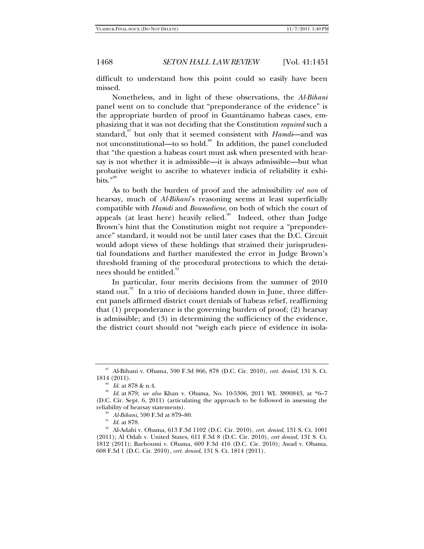difficult to understand how this point could so easily have been missed.

Nonetheless, and in light of these observations, the *Al-Bihani*  panel went on to conclude that "preponderance of the evidence" is the appropriate burden of proof in Guantánamo habeas cases, emphasizing that it was not deciding that the Constitution *required* such a standard,<sup>87</sup> but only that it seemed consistent with *Hamdi*—and was not unconstitutional—to so hold.<sup>88</sup> In addition, the panel concluded that "the question a habeas court must ask when presented with hearsay is not whether it is admissible—it is always admissible—but what probative weight to ascribe to whatever indicia of reliability it exhibits." $89$ 

As to both the burden of proof and the admissibility *vel non* of hearsay, much of *Al-Bihani*'s reasoning seems at least superficially compatible with *Hamdi* and *Boumediene*, on both of which the court of appeals (at least here) heavily relied.<sup>90</sup> Indeed, other than Judge Brown's hint that the Constitution might not require a "preponderance" standard, it would not be until later cases that the D.C. Circuit would adopt views of these holdings that strained their jurisprudential foundations and further manifested the error in Judge Brown's threshold framing of the procedural protections to which the detainees should be entitled.<sup>91</sup>

In particular, four merits decisions from the summer of 2010 stand out. $\frac{92}{1}$  In a trio of decisions handed down in June, three different panels affirmed district court denials of habeas relief, reaffirming that (1) preponderance is the governing burden of proof; (2) hearsay is admissible; and (3) in determining the sufficiency of the evidence, the district court should not "weigh each piece of evidence in isola-

<sup>87</sup> Al-Bihani v. Obama, 590 F.3d 866, 878 (D.C. Cir. 2010), *cert. denied*, 131 S. Ct.

<sup>1814 (2011). 88</sup> *Id.* at 878 & n.4. 89 *Id.* at 879; *see also* Khan v. Obama, No. 10-5306, 2011 WL 3890843, at \*6–7 (D.C. Cir. Sept. 6, 2011) (articulating the approach to be followed in assessing the

reliability of hearsay statements). 90 *Al-Bihani*, 590 F.3d at 879–80. 91 *Id.* at 878. 92 Al-Adahi v. Obama, 613 F.3d 1102 (D.C. Cir. 2010), *cert. denied*, 131 S. Ct. 1001 (2011); Al Odah v. United States, 611 F.3d 8 (D.C. Cir. 2010), *cert denied*, 131 S. Ct. 1812 (2011); Barhoumi v. Obama, 609 F.3d 416 (D.C. Cir. 2010); Awad v. Obama, 608 F.3d 1 (D.C. Cir. 2010), *cert. denied*, 131 S. Ct. 1814 (2011).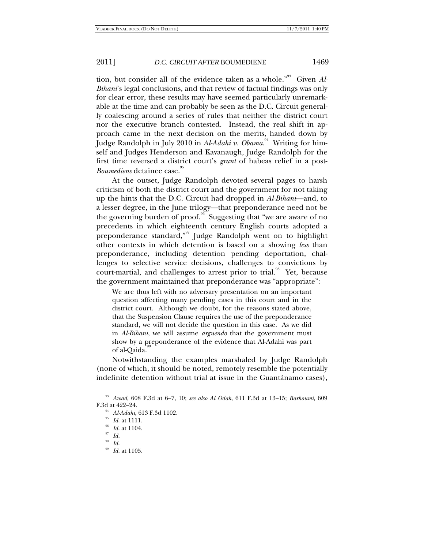tion, but consider all of the evidence taken as a whole.<sup>"93</sup> Given Al-*Bihani*'s legal conclusions, and that review of factual findings was only for clear error, these results may have seemed particularly unremarkable at the time and can probably be seen as the D.C. Circuit generally coalescing around a series of rules that neither the district court nor the executive branch contested. Instead, the real shift in approach came in the next decision on the merits, handed down by Judge Randolph in July 2010 in *Al-Adahi v. Obama.*<sup>94</sup> Writing for himself and Judges Henderson and Kavanaugh, Judge Randolph for the first time reversed a district court's *grant* of habeas relief in a post-*Boumediene* detainee case.<sup>95</sup>

At the outset, Judge Randolph devoted several pages to harsh criticism of both the district court and the government for not taking up the hints that the D.C. Circuit had dropped in *Al-Bihani*—and, to a lesser degree, in the June trilogy—that preponderance need not be the governing burden of proof.<sup>96</sup> Suggesting that "we are aware of no precedents in which eighteenth century English courts adopted a preponderance standard,"97 Judge Randolph went on to highlight other contexts in which detention is based on a showing *less* than preponderance, including detention pending deportation, challenges to selective service decisions, challenges to convictions by court-martial, and challenges to arrest prior to trial.<sup>98</sup> Yet, because the government maintained that preponderance was "appropriate":

We are thus left with no adversary presentation on an important question affecting many pending cases in this court and in the district court. Although we doubt, for the reasons stated above, that the Suspension Clause requires the use of the preponderance standard, we will not decide the question in this case. As we did in *Al-Bihani*, we will assume *arguendo* that the government must show by a preponderance of the evidence that Al-Adahi was part of al-Qaida.

Notwithstanding the examples marshaled by Judge Randolph (none of which, it should be noted, remotely resemble the potentially indefinite detention without trial at issue in the Guantánamo cases),

<sup>93</sup> *Awad*, 608 F.3d at 6–7, 10; *see also Al Odah*, 611 F.3d at 13–15; *Barhoumi*, 609

<sup>&</sup>lt;sup>94</sup> Al-Adahi, 613 F.3d 1102.<br><sup>95</sup> *Id.* at 1111.<br><sup>96</sup> *Id.* at 1104.<br><sup>97</sup> *Id.* 

<sup>98</sup> *Id.*

<sup>99</sup> *Id.* at 1105.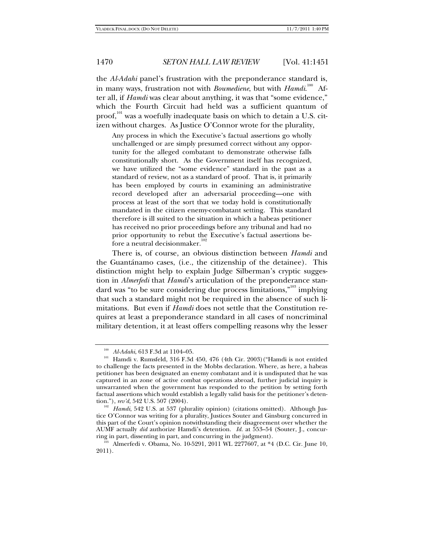the *Al-Adahi* panel's frustration with the preponderance standard is, in many ways, frustration not with *Boumediene*, but with *Hamdi.*<sup>100</sup> After all, if *Hamdi* was clear about anything, it was that "some evidence," which the Fourth Circuit had held was a sufficient quantum of proof,<sup>101</sup> was a woefully inadequate basis on which to detain a U.S. citizen without charges. As Justice O'Connor wrote for the plurality,

Any process in which the Executive's factual assertions go wholly unchallenged or are simply presumed correct without any opportunity for the alleged combatant to demonstrate otherwise falls constitutionally short. As the Government itself has recognized, we have utilized the "some evidence" standard in the past as a standard of review, not as a standard of proof. That is, it primarily has been employed by courts in examining an administrative record developed after an adversarial proceeding—one with process at least of the sort that we today hold is constitutionally mandated in the citizen enemy-combatant setting. This standard therefore is ill suited to the situation in which a habeas petitioner has received no prior proceedings before any tribunal and had no prior opportunity to rebut the Executive's factual assertions before a neutral decisionmaker.<sup>1</sup>

There is, of course, an obvious distinction between *Hamdi* and the Guantánamo cases, (i.e*.*, the citizenship of the detainee). This distinction might help to explain Judge Silberman's cryptic suggestion in *Almerfedi* that *Hamdi*'s articulation of the preponderance standard was "to be sure considering due process limitations,"<sup>103</sup> implying that such a standard might not be required in the absence of such limitations. But even if *Hamdi* does not settle that the Constitution requires at least a preponderance standard in all cases of noncriminal military detention, it at least offers compelling reasons why the lesser

<sup>&</sup>lt;sup>100</sup> *Al-Adahi*, 613 F.3d at 1104–05.<br><sup>101</sup> Hamdi v. Rumsfeld, 316 F.3d 450, 476 (4th Cir. 2003)("Hamdi is not entitled to challenge the facts presented in the Mobbs declaration. Where, as here, a habeas petitioner has been designated an enemy combatant and it is undisputed that he was captured in an zone of active combat operations abroad, further judicial inquiry is unwarranted when the government has responded to the petition by setting forth factual assertions which would establish a legally valid basis for the petitioner's detention."),  $rev'd$ , 542 U.S. 507 (2004).

<sup>&</sup>lt;sup>102</sup> Hamdi, 542 U.S. at 537 (plurality opinion) (citations omitted). Although Justice O'Connor was writing for a plurality, Justices Souter and Ginsburg concurred in this part of the Court's opinion notwithstanding their disagreement over whether the AUMF actually *did* authorize Hamdi's detention. *Id.* at 553–54 (Souter, J., concurring in part, dissenting in part, and concurring in the judgment).<br><sup>103</sup> Almerfedi v. Obama, No. 10-5291, 2011 WL 2277607, at \*4 (D.C. Cir. June 10,

<sup>2011).</sup>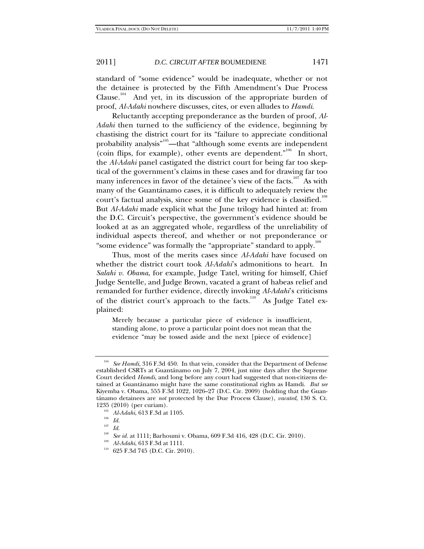standard of "some evidence" would be inadequate, whether or not the detainee is protected by the Fifth Amendment's Due Process Clause.<sup>104</sup> And yet, in its discussion of the appropriate burden of proof, *Al-Adahi* nowhere discusses, cites, or even alludes to *Hamdi*.

Reluctantly accepting preponderance as the burden of proof, *Al-Adahi* then turned to the sufficiency of the evidence, beginning by chastising the district court for its "failure to appreciate conditional probability analysis"<sup>105</sup>—that "although some events are independent (coin flips, for example), other events are dependent."<sup>106</sup> In short, the *Al-Adahi* panel castigated the district court for being far too skeptical of the government's claims in these cases and for drawing far too many inferences in favor of the detainee's view of the facts.<sup>107</sup> As with many of the Guantánamo cases, it is difficult to adequately review the court's factual analysis, since some of the key evidence is classified.<sup>108</sup> But *Al-Adahi* made explicit what the June trilogy had hinted at: from the D.C. Circuit's perspective, the government's evidence should be looked at as an aggregated whole, regardless of the unreliability of individual aspects thereof, and whether or not preponderance or "some evidence" was formally the "appropriate" standard to apply.<sup>109</sup>

Thus, most of the merits cases since *Al-Adahi* have focused on whether the district court took *Al-Adahi*'s admonitions to heart. In *Salahi v. Obama*, for example, Judge Tatel, writing for himself, Chief Judge Sentelle, and Judge Brown, vacated a grant of habeas relief and remanded for further evidence, directly invoking *Al-Adahi*'s criticisms of the district court's approach to the facts.<sup>110</sup> As Judge Tatel explained:

Merely because a particular piece of evidence is insufficient, standing alone, to prove a particular point does not mean that the evidence "may be tossed aside and the next [piece of evidence]

<sup>104</sup> *See Hamdi*, 316 F.3d 450. In that vein, consider that the Department of Defense established CSRTs at Guantánamo on July 7, 2004, just nine days after the Supreme Court decided *Hamdi*, and long before any court had suggested that non-citizens detained at Guantánamo might have the same constitutional rights as Hamdi. *But see*  Kiyemba v. Obama, 555 F.3d 1022, 1026–27 (D.C. Cir. 2009) (holding that the Guantánamo detainees are *not* protected by the Due Process Clause), *vacated*, 130 S. Ct.

<sup>&</sup>lt;sup>105</sup> *Al-Adahi*, 613 F.3d at 1105.<br><sup>106</sup> *Id.* 

 $\int_{108}^{107}$  *Id.* 

<sup>&</sup>lt;sup>108</sup> See id. at 1111; Barhoumi v. Obama, 609 F.3d 416, 428 (D.C. Cir. 2010).<br><sup>109</sup> Al-Adahi, 613 F.3d at 1111.<br><sup>110</sup> 625 F.3d 745 (D.C. Cir. 2010).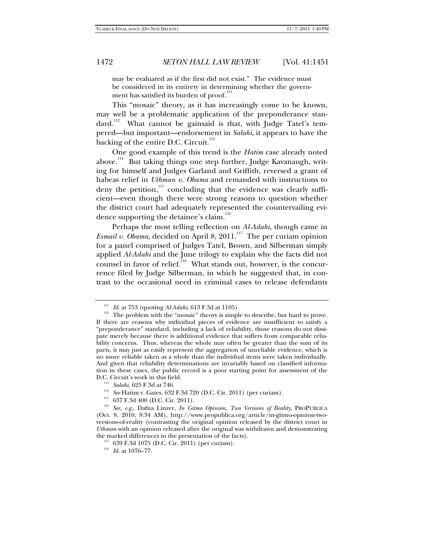may be evaluated as if the first did not exist." The evidence must be considered in its entirety in determining whether the government has satisfied its burden of proof.<sup>1</sup>

This "mosaic" theory, as it has increasingly come to be known, may well be a problematic application of the preponderance standard.<sup>112</sup> What cannot be gainsaid is that, with Judge Tatel's tempered—but important—endorsement in *Salahi*, it appears to have the backing of the entire D.C. Circuit. $113$ 

One good example of this trend is the *Hatim* case already noted above.<sup>114</sup> But taking things one step further, Judge Kavanaugh, writing for himself and Judges Garland and Griffith, reversed a grant of habeas relief in *Uthman v. Obama* and remanded with instructions to deny the petition, $115$  concluding that the evidence was clearly sufficient—even though there were strong reasons to question whether the district court had adequately represented the countervailing evidence supporting the detainee's claim.<sup>116</sup>

Perhaps the most telling reflection on *Al-Adahi*, though came in *Esmail v. Obama*, decided on April 8, 2011.<sup>117</sup> The per curiam opinion for a panel comprised of Judges Tatel, Brown, and Silberman simply applied *Al-Adahi* and the June trilogy to explain why the facts did not counsel in favor of relief.<sup>118</sup> What stands out, however, is the concurrence filed by Judge Silberman, in which he suggested that, in contrast to the occasional need in criminal cases to release defendants

<sup>&</sup>lt;sup>111</sup> *Id.* at 753 (quoting *Al-Adahi*, 613 F.3d at 1105). <sup>112</sup> The problem with the "mosaic" theory is simple to describe, but hard to prove. If there are reasons why individual pieces of evidence are insufficient to satisfy a "preponderance" standard, including a lack of reliability, those reasons do not dissipate merely because there is additional evidence that suffers from comparable reliability concerns. Thus, whereas the whole may often be greater than the sum of its parts, it may just as easily represent the aggregation of unreliable evidence, which is no more reliable taken as a whole than the individual items were taken individually. And given that reliability determinations are invariably based on classified information in these cases, the public record is a poor starting point for assessment of the

<sup>&</sup>lt;sup>113</sup> Salahi, 625 F.3d at 746.<br><sup>114</sup> See Hatim v. Gates, 632 F.3d 720 (D.C. Cir. 2011) (per curiam).<br><sup>115</sup> 637 F.3d 400 (D.C. Cir. 2011).<br><sup>115</sup> See, e.g., Dafna Linzer, *In Gitmo Opinion, Two Versions of Reality*, PROPUBL (Oct. 8, 2010, 8:34 AM), http://www.propublica.org/article/in-gitmo-opinion-twoversions-of-reality (contrasting the original opinion released by the district court in *Uthman* with an opinion released after the original was withdrawn and demonstrating

 $t_{117}$  639 F.3d 1075 (D.C. Cir. 2011) (per curiam). <sup>118</sup> *Id.* at 1076–77.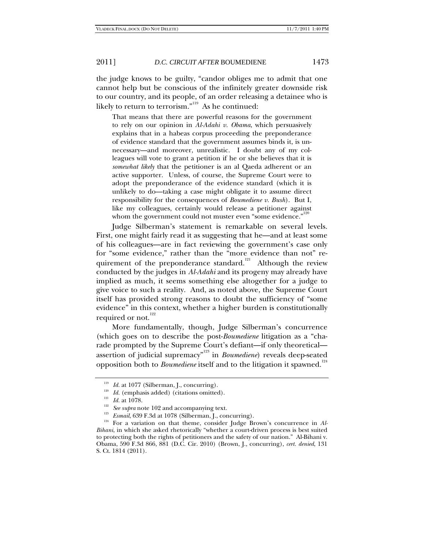the judge knows to be guilty, "candor obliges me to admit that one cannot help but be conscious of the infinitely greater downside risk to our country, and its people, of an order releasing a detainee who is likely to return to terrorism."<sup>119</sup> As he continued:

That means that there are powerful reasons for the government to rely on our opinion in *Al-Adahi v. Obama*, which persuasively explains that in a habeas corpus proceeding the preponderance of evidence standard that the government assumes binds it, is unnecessary—and moreover, unrealistic. I doubt any of my colleagues will vote to grant a petition if he or she believes that it is *somewhat likely* that the petitioner is an al Qaeda adherent or an active supporter. Unless, of course, the Supreme Court were to adopt the preponderance of the evidence standard (which it is unlikely to do—taking a case might obligate it to assume direct responsibility for the consequences of *Boumediene v. Bush*). But I, like my colleagues, certainly would release a petitioner against whom the government could not muster even "some evidence."<sup>12</sup>

Judge Silberman's statement is remarkable on several levels. First, one might fairly read it as suggesting that he—and at least some of his colleagues—are in fact reviewing the government's case only for "some evidence," rather than the "more evidence than not" requirement of the preponderance standard.<sup>121</sup> Although the review conducted by the judges in *Al-Adahi* and its progeny may already have implied as much, it seems something else altogether for a judge to give voice to such a reality. And, as noted above, the Supreme Court itself has provided strong reasons to doubt the sufficiency of "some evidence" in this context, whether a higher burden is constitutionally required or not. $122$ 

More fundamentally, though, Judge Silberman's concurrence (which goes on to describe the post-*Boumediene* litigation as a "charade prompted by the Supreme Court's defiant—if only theoretical assertion of judicial supremacy"123 in *Boumediene*) reveals deep-seated opposition both to *Boumediene* itself and to the litigation it spawned.<sup>124</sup>

<sup>&</sup>lt;sup>119</sup> *Id.* at 1077 (Silberman, J., concurring).<br><sup>120</sup> *Id.* (emphasis added) (citations omitted).<br><sup>121</sup> *Id.* at 1078.<br><sup>122</sup> *See supra* note 102 and accompanying text.<br><sup>123</sup> *Esmail*, 639 F.3d at 1078 (Silberman, J., co *Bihani*, in which she asked rhetorically "whether a court-driven process is best suited to protecting both the rights of petitioners and the safety of our nation." Al-Bihani v. Obama, 590 F.3d 866, 881 (D.C. Cir. 2010) (Brown, J., concurring), *cert. denied*, 131 S. Ct. 1814 (2011).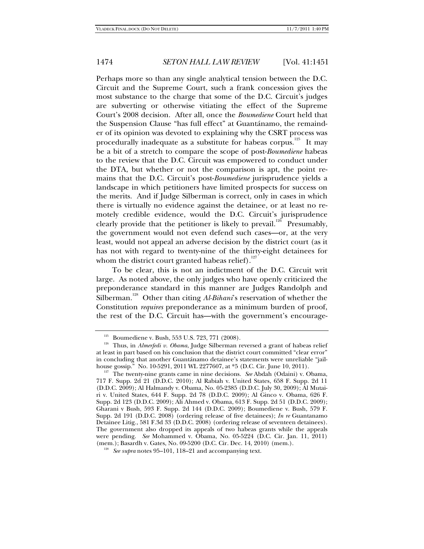Perhaps more so than any single analytical tension between the D.C. Circuit and the Supreme Court, such a frank concession gives the most substance to the charge that some of the D.C. Circuit's judges are subverting or otherwise vitiating the effect of the Supreme Court's 2008 decision. After all, once the *Boumediene* Court held that the Suspension Clause "has full effect" at Guantánamo, the remainder of its opinion was devoted to explaining why the CSRT process was procedurally inadequate as a substitute for habeas corpus.<sup>125</sup> It may be a bit of a stretch to compare the scope of post-*Boumediene* habeas to the review that the D.C. Circuit was empowered to conduct under the DTA, but whether or not the comparison is apt, the point remains that the D.C. Circuit's post-*Boumediene* jurisprudence yields a landscape in which petitioners have limited prospects for success on the merits. And if Judge Silberman is correct, only in cases in which there is virtually no evidence against the detainee, or at least no remotely credible evidence, would the D.C. Circuit's jurisprudence clearly provide that the petitioner is likely to prevail.<sup>126</sup> Presumably, the government would not even defend such cases—or, at the very least, would not appeal an adverse decision by the district court (as it has not with regard to twenty-nine of the thirty-eight detainees for whom the district court granted habeas relief).<sup>127</sup>

To be clear, this is not an indictment of the D.C. Circuit writ large. As noted above, the only judges who have openly criticized the preponderance standard in this manner are Judges Randolph and Silberman.<sup>128</sup> Other than citing *Al-Bihani*'s reservation of whether the Constitution *requires* preponderance as a minimum burden of proof, the rest of the D.C. Circuit has—with the government's encourage-

<sup>&</sup>lt;sup>125</sup> Boumediene v. Bush, 553 U.S. 723, 771 (2008).<br><sup>126</sup> Thus, in *Almerfedi v. Obama*, Judge Silberman reversed a grant of habeas relief at least in part based on his conclusion that the district court committed "clear error" in concluding that another Guantánamo detainee's statements were unreliable "jail-<br>house gossip." No. 10-5291, 2011 WL 2277607, at \*5 (D.C. Cir. June 10, 2011).

<sup>&</sup>lt;sup>127</sup> The twenty-nine grants came in nine decisions. *See* Abdah (Odaini) v. Obama, 717 F. Supp. 2d 21 (D.D.C. 2010); Al Rabiah v. United States, 658 F. Supp. 2d 11 (D.D.C. 2009); Al Halmandy v. Obama, No. 05-2385 (D.D.C. July 30, 2009); Al Mutairi v. United States, 644 F. Supp. 2d 78 (D.D.C. 2009); Al Ginco v. Obama, 626 F. Supp. 2d 123 (D.D.C. 2009); Ali Ahmed v. Obama, 613 F. Supp. 2d 51 (D.D.C. 2009); Gharani v Bush, 593 F. Supp. 2d 144 (D.D.C. 2009); Boumediene v. Bush, 579 F. Supp. 2d 191 (D.D.C. 2008) (ordering release of five detainees); *In re* Guantanamo Detainee Litig., 581 F.3d 33 (D.D.C. 2008) (ordering release of seventeen detainees). The government also dropped its appeals of two habeas grants while the appeals were pending. *See* Mohammed v. Obama, No. 05-5224 (D.C. Cir. Jan. 11, 2011) (mem.); Basardh v. Gates, No. 09-5200 (D.C. Cir. Dec. 14, 2010) (mem.). 128 *See supra* notes 95–101, 118–21 and accompanying text.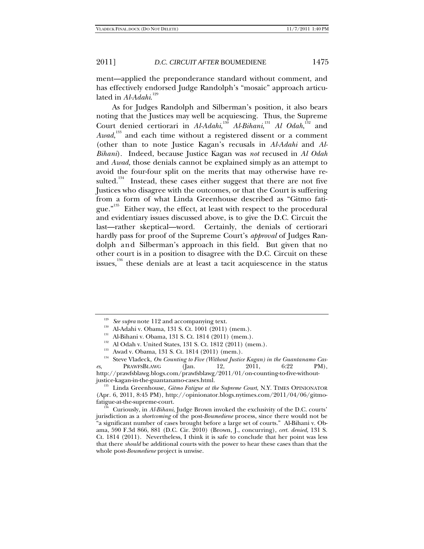ment—applied the preponderance standard without comment, and has effectively endorsed Judge Randolph's "mosaic" approach articulated in *Al-Adahi*. 129

As for Judges Randolph and Silberman's position, it also bears noting that the Justices may well be acquiescing. Thus, the Supreme Court denied certiorari in *Al-Adahi*,<sup>130</sup> *Al-Bihani*,<sup>131</sup> *Al Odah*,<sup>132</sup> and *Awad*, 133 and each time without a registered dissent or a comment (other than to note Justice Kagan's recusals in *Al-Adahi* and *Al-Bihani*). Indeed, because Justice Kagan was *not* recused in *Al Odah* and *Awad*, those denials cannot be explained simply as an attempt to avoid the four-four split on the merits that may otherwise have resulted.<sup>134</sup> Instead, these cases either suggest that there are not five Justices who disagree with the outcomes, or that the Court is suffering from a form of what Linda Greenhouse described as "Gitmo fatigue."<sup>135</sup> Either way, the effect, at least with respect to the procedural and evidentiary issues discussed above, is to give the D.C. Circuit the last—rather skeptical—word. Certainly, the denials of certiorari hardly pass for proof of the Supreme Court's *approval* of Judges Randolph and Silberman's approach in this field. But given that no other court is in a position to disagree with the D.C. Circuit on these issues, $136$  these denials are at least a tacit acquiescence in the status

<sup>&</sup>lt;sup>129</sup> See supra note 112 and accompanying text.<br>
<sup>130</sup> Al-Adahi v. Obama, 131 S. Ct. 1001 (2011) (mem.).<br>
<sup>131</sup> Al-Bihani v. Obama, 131 S. Ct. 1814 (2011) (mem.).<br>
<sup>132</sup> Al Odah v. United States, 131 S. Ct. 1812 (2011) (m *es*, PRAWFSBLAWG (Jan. 12, 2011, 6:22 PM), http://prawfsblawg.blogs.com/prawfsblawg/2011/01/on-counting-to-five-without-

<sup>&</sup>lt;sup>135</sup> Linda Greenhouse, *Gitmo Fatigue at the Supreme Court*, N.Y. TIMES OPINIONATOR (Apr. 6, 2011, 8:45 PM), http://opinionator.blogs.nytimes.com/2011/04/06/gitmofatigue-at-the-supreme-court. 136 Curiously, in *Al-Bihani*, Judge Brown invoked the exclusivity of the D.C. courts'

jurisdiction as a *shortcoming* of the post-*Boumediene* process, since there would not be "a significant number of cases brought before a large set of courts." Al-Bihani v. Obama, 590 F.3d 866, 881 (D.C. Cir. 2010) (Brown, J., concurring), *cert. denied*, 131 S. Ct. 1814 (2011). Nevertheless, I think it is safe to conclude that her point was less that there *should* be additional courts with the power to hear these cases than that the whole post-*Boumediene* project is unwise.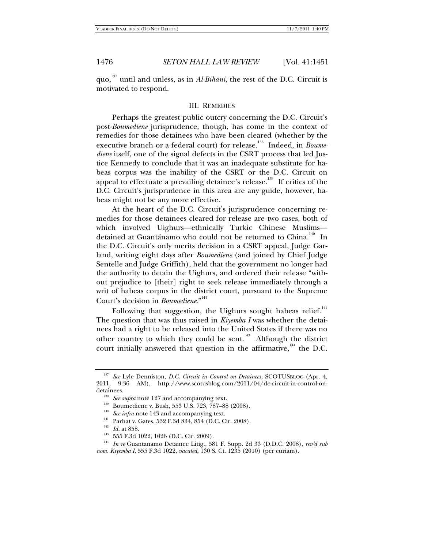quo,137 until and unless, as in *Al-Bihani*, the rest of the D.C. Circuit is motivated to respond.

### III. REMEDIES

Perhaps the greatest public outcry concerning the D.C. Circuit's post-*Boumediene* jurisprudence, though, has come in the context of remedies for those detainees who have been cleared (whether by the executive branch or a federal court) for release.<sup>138</sup> Indeed, in *Boumediene* itself, one of the signal defects in the CSRT process that led Justice Kennedy to conclude that it was an inadequate substitute for habeas corpus was the inability of the CSRT or the D.C. Circuit on appeal to effectuate a prevailing detainee's release.<sup>139</sup> If critics of the D.C. Circuit's jurisprudence in this area are any guide, however, habeas might not be any more effective.

At the heart of the D.C. Circuit's jurisprudence concerning remedies for those detainees cleared for release are two cases, both of which involved Uighurs—ethnically Turkic Chinese Muslims detained at Guantánamo who could not be returned to China.<sup>140</sup> In the D.C. Circuit's only merits decision in a CSRT appeal, Judge Garland, writing eight days after *Boumediene* (and joined by Chief Judge Sentelle and Judge Griffith), held that the government no longer had the authority to detain the Uighurs, and ordered their release "without prejudice to [their] right to seek release immediately through a writ of habeas corpus in the district court, pursuant to the Supreme Court's decision in *Boumediene*."<sup>141</sup>

Following that suggestion, the Uighurs sought habeas relief.<sup>142</sup> The question that was thus raised in *Kiyemba I* was whether the detainees had a right to be released into the United States if there was no other country to which they could be sent.<sup>143</sup> Although the district court initially answered that question in the affirmative.<sup>144</sup> the D.C.

<sup>137</sup> *See* Lyle Denniston, *D.C. Circuit in Control on Detainees*, SCOTUSBLOG (Apr. 4, 2011, 9:36 AM), http://www.scotusblog.com/2011/04/dc-circuit-in-control-ondetainees.<br>
<sup>138</sup> *See supra* note 127 and accompanying text.<br>
<sup>139</sup> Boumediene v. Bush, 553 U.S. 723, 787–88 (2008).<br>
<sup>140</sup> *See infra* note 143 and accompanying text.<br>
<sup>141</sup> *Int* art 858.<br>
<sup>142</sup> *Id.* at 858.<br>
<sup>142</sup> 55

*nom. Kiyemba I*, 555 F.3d 1022, *vacated*, 130 S. Ct. 1235 (2010) (per curiam).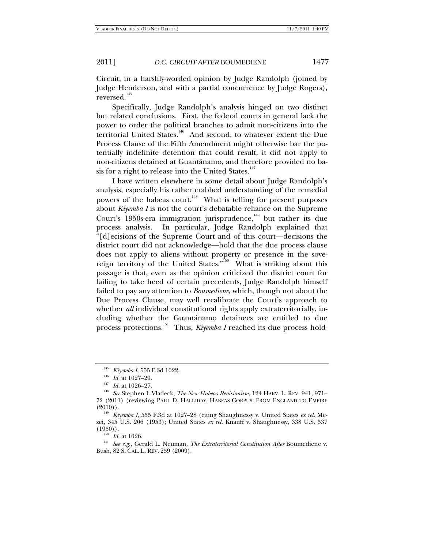Circuit, in a harshly-worded opinion by Judge Randolph (joined by Judge Henderson, and with a partial concurrence by Judge Rogers), reversed.<sup>145</sup>

Specifically, Judge Randolph's analysis hinged on two distinct but related conclusions. First, the federal courts in general lack the power to order the political branches to admit non-citizens into the territorial United States.<sup>146</sup> And second, to whatever extent the Due Process Clause of the Fifth Amendment might otherwise bar the potentially indefinite detention that could result, it did not apply to non-citizens detained at Guantánamo, and therefore provided no basis for a right to release into the United States. $147$ 

I have written elsewhere in some detail about Judge Randolph's analysis, especially his rather crabbed understanding of the remedial powers of the habeas court.<sup>148</sup> What is telling for present purposes about *Kiyemba I* is not the court's debatable reliance on the Supreme Court's 1950s-era immigration jurisprudence,<sup>149</sup> but rather its due process analysis. In particular, Judge Randolph explained that "[d]ecisions of the Supreme Court and of this court—decisions the district court did not acknowledge—hold that the due process clause does not apply to aliens without property or presence in the sovereign territory of the United States.<sup> $150$ </sup> What is striking about this passage is that, even as the opinion criticized the district court for failing to take heed of certain precedents, Judge Randolph himself failed to pay any attention to *Boumediene*, which, though not about the Due Process Clause, may well recalibrate the Court's approach to whether *all* individual constitutional rights apply extraterritorially, including whether the Guantánamo detainees are entitled to due process protections.<sup>151</sup> Thus, *Kiyemba I* reached its due process hold-

(1950)). 150 *Id.* at 1026. 151 *See e.g.*, Gerald L. Neuman, *The Extraterritorial Constitution After* Boumediene v. Bush, 82 S. CAL. L. REV. 259 (2009).

<sup>145</sup> *Kiyemba I*, 555 F.3d 1022. 146 *Id.* at 1027–29. 147 *Id.* at 1026–27. 148 *See* Stephen I. Vladeck, *The New Habeas Revisionism*, 124 HARV. L. REV. 941, 971– 72 (2011) (reviewing PAUL D. HALLIDAY, HABEAS CORPUS: FROM ENGLAND TO EMPIRE (2010)). 149 *Kiyemba I*, 555 F.3d at 1027–28 (citing Shaughnessy v. United States *ex rel.* Me-

zei, 345 U.S. 206 (1953); United States *ex rel.* Knauff v. Shaughnessy, 338 U.S. 537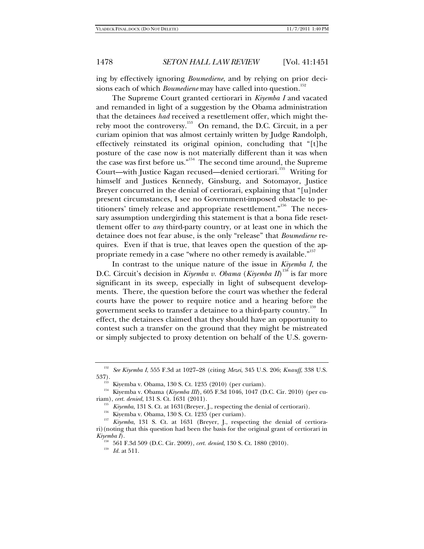ing by effectively ignoring *Boumediene*, and by relying on prior decisions each of which *Boumediene* may have called into question.<sup>152</sup>

The Supreme Court granted certiorari in *Kiyemba I* and vacated and remanded in light of a suggestion by the Obama administration that the detainees *had* received a resettlement offer, which might thereby moot the controversy.<sup>153</sup> On remand, the D.C. Circuit, in a per curiam opinion that was almost certainly written by Judge Randolph, effectively reinstated its original opinion, concluding that "[t]he posture of the case now is not materially different than it was when the case was first before us."<sup>154</sup> The second time around, the Supreme Court—with Justice Kagan recused—denied certiorari.<sup>155</sup> Writing for himself and Justices Kennedy, Ginsburg, and Sotomayor, Justice Breyer concurred in the denial of certiorari, explaining that "[u]nder present circumstances, I see no Government-imposed obstacle to petitioners' timely release and appropriate resettlement."<sup>156</sup> The necessary assumption undergirding this statement is that a bona fide resettlement offer to *any* third-party country, or at least one in which the detainee does not fear abuse, is the only "release" that *Boumediene* requires. Even if that is true, that leaves open the question of the appropriate remedy in a case "where no other remedy is available."<sup>157</sup>

In contrast to the unique nature of the issue in *Kiyemba I*, the D.C. Circuit's decision in *Kiyemba v. Obama* (*Kiyemba II*) 158 is far more significant in its sweep, especially in light of subsequent developments. There, the question before the court was whether the federal courts have the power to require notice and a hearing before the government seeks to transfer a detainee to a third-party country.<sup>159</sup> In effect, the detainees claimed that they should have an opportunity to contest such a transfer on the ground that they might be mistreated or simply subjected to proxy detention on behalf of the U.S. govern-

<sup>152</sup> *See Kiyemba I*, 555 F.3d at 1027–28 (citing *Mezei*, 345 U.S. 206; *Knauff*, 338 U.S.

<sup>537). 153</sup> Kiyemba v. Obama, 130 S. Ct. 1235 (2010) (per curiam). 154 Kiyemba v. Obama (*Kiyemba III*), 605 F.3d 1046, 1047 (D.C. Cir. 2010) (per cu-

<sup>&</sup>lt;sup>155</sup> Kiyemba, 131 S. Ct. at 1631 (Breyer, J., respecting the denial of certiorari).<br><sup>156</sup> Kiyemba v. Obama, 130 S. Ct. 1235 (per curiam).<br><sup>157</sup> Kiyemba, 131 S. Ct. at 1631 (Breyer, J., respecting the denial of certiorari)(noting that this question had been the basis for the original grant of certiorari in  $Kiyemba\ I$ ).

<sup>&</sup>lt;sup>158</sup> 561 F.3d 509 (D.C. Cir. 2009), *cert. denied*, 130 S. Ct. 1880 (2010).<br><sup>159</sup> Id. at 511.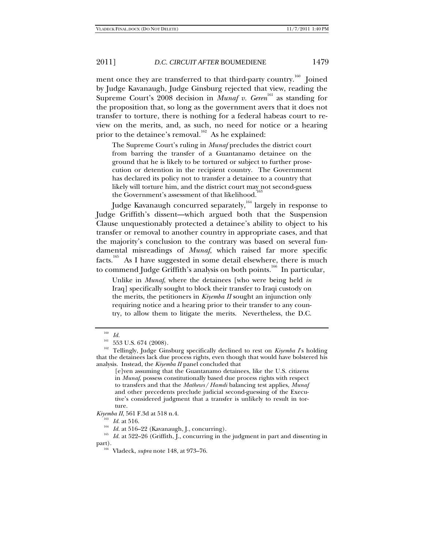ment once they are transferred to that third-party country.<sup>160</sup> Joined by Judge Kavanaugh, Judge Ginsburg rejected that view, reading the Supreme Court's 2008 decision in *Munaf v. Geren*<sup>161</sup> as standing for the proposition that, so long as the government avers that it does not transfer to torture, there is nothing for a federal habeas court to review on the merits, and, as such, no need for notice or a hearing prior to the detainee's removal.<sup>162</sup> As he explained:

The Supreme Court's ruling in *Munaf* precludes the district court from barring the transfer of a Guantanamo detainee on the ground that he is likely to be tortured or subject to further prosecution or detention in the recipient country. The Government has declared its policy not to transfer a detainee to a country that likely will torture him, and the district court may not second-guess the Government's assessment of that likelihood.<sup>1</sup>

Judge Kavanaugh concurred separately,  $164$  largely in response to Judge Griffith's dissent—which argued both that the Suspension Clause unquestionably protected a detainee's ability to object to his transfer or removal to another country in appropriate cases, and that the majority's conclusion to the contrary was based on several fundamental misreadings of *Munaf*, which raised far more specific facts.<sup>165</sup> As I have suggested in some detail elsewhere, there is much to commend Judge Griffith's analysis on both points.<sup>166</sup> In particular,

Unlike in *Munaf*, where the detainees [who were being held *in*  Iraq] specifically sought to block their transfer to Iraqi custody on the merits, the petitioners in *Kiyemba II* sought an injunction only requiring notice and a hearing prior to their transfer to any country, to allow them to litigate the merits. Nevertheless, the D.C.

 $\frac{160}{161}$  *Id.* 

<sup>&</sup>lt;sup>161</sup> 553 U.S. 674 (2008).<br><sup>162</sup> Tellingly, Judge Ginsburg specifically declined to rest on *Kiyemba I*'s holding that the detainees lack due process rights, even though that would have bolstered his analysis. Instead, the *Kiyemba II* panel concluded that

<sup>[</sup>e]ven assuming that the Guantanamo detainees, like the U.S. citizens in *Munaf*, possess constitutionally based due process rights with respect to transfers and that the *Mathews*/*Hamdi* balancing test applies, *Munaf* and other precedents preclude judicial second-guessing of the Executive's considered judgment that a transfer is unlikely to result in torture.

*Kiyemba II*, 561 F.3d at 518 n.4.<br><sup>163</sup> *Id.* at 516.<br><sup>164</sup> *Id.* at 516–22 (Kavanaugh, J., concurring).<br><sup>165</sup> *Id.* at 522–26 (Griffith, J., concurring in the judgment in part and dissenting in part). 166 Vladeck, *supra* note 148, at 973–76.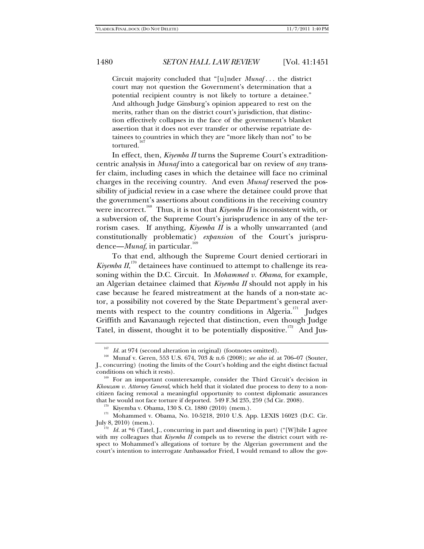Circuit majority concluded that "[u]nder *Munaf* . . . the district court may not question the Government's determination that a potential recipient country is not likely to torture a detainee." And although Judge Ginsburg's opinion appeared to rest on the merits, rather than on the district court's jurisdiction, that distinction effectively collapses in the face of the government's blanket assertion that it does not ever transfer or otherwise repatriate detainees to countries in which they are "more likely than not" to be tortured.<sup>1</sup>

In effect, then, *Kiyemba II* turns the Supreme Court's extraditioncentric analysis in *Munaf* into a categorical bar on review of *any* transfer claim, including cases in which the detainee will face no criminal charges in the receiving country. And even *Munaf* reserved the possibility of judicial review in a case where the detainee could prove that the government's assertions about conditions in the receiving country were incorrect.<sup>168</sup> Thus, it is not that *Kiyemba II* is inconsistent with, or a subversion of, the Supreme Court's jurisprudence in any of the terrorism cases. If anything, *Kiyemba II* is a wholly unwarranted (and constitutionally problematic) *expansion* of the Court's jurisprudence—*Munaf*, in particular.<sup>169</sup>

To that end, although the Supreme Court denied certiorari in *Kiyemba*  $II$ *,*  $II$ <sup>170</sup> detainees have continued to attempt to challenge its reasoning within the D.C. Circuit. In *Mohammed v. Obama*, for example, an Algerian detainee claimed that *Kiyemba II* should not apply in his case because he feared mistreatment at the hands of a non-state actor, a possibility not covered by the State Department's general averments with respect to the country conditions in Algeria.<sup>171</sup> Judges Griffith and Kavanaugh rejected that distinction, even though Judge Tatel, in dissent, thought it to be potentially dispositive.<sup>172</sup> And Jus-

<sup>&</sup>lt;sup>167</sup> Id. at 974 (second alteration in original) (footnotes omitted).<br><sup>168</sup> Munaf v. Geren, 553 U.S. 674, 703 & n.6 (2008); *see also id.* at 706–07 (Souter, J., concurring) (noting the limits of the Court's holding and the eight distinct factual

<sup>&</sup>lt;sup>169</sup> For an important counterexample, consider the Third Circuit's decision in *Khouzam v. Attorney General*, which held that it violated due process to deny to a noncitizen facing removal a meaningful opportunity to contest diplomatic assurances

 $t^{170}$  Kiyemba v. Obama, 130 S. Ct. 1880 (2010) (mem.). <br><sup>171</sup> Mohammed v. Obama, No. 10-5218, 2010 U.S. App. LEXIS 16023 (D.C. Cir.

July 8, 2010) (mem.). 172 *Id.* at \*6 (Tatel, J., concurring in part and dissenting in part) ("[W]hile I agree with my colleagues that *Kiyemba II* compels us to reverse the district court with respect to Mohammed's allegations of torture by the Algerian government and the court's intention to interrogate Ambassador Fried, I would remand to allow the gov-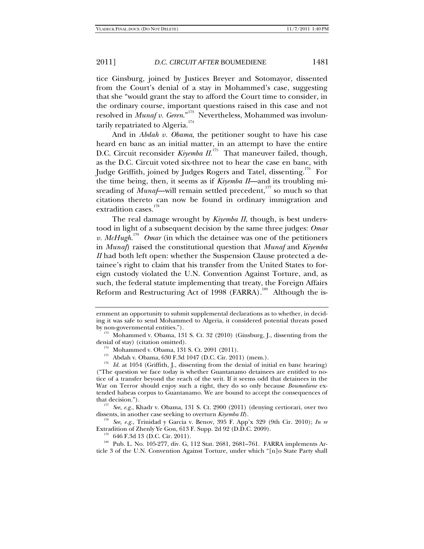tice Ginsburg, joined by Justices Breyer and Sotomayor, dissented from the Court's denial of a stay in Mohammed's case, suggesting that she "would grant the stay to afford the Court time to consider, in the ordinary course, important questions raised in this case and not resolved in *Munaf v. Geren*."173 Nevertheless, Mohammed was involuntarily repatriated to Algeria.<sup>174</sup>

And in *Abdah v. Obama*, the petitioner sought to have his case heard en banc as an initial matter, in an attempt to have the entire D.C. Circuit reconsider *Kiyemba II*.<sup>175</sup> That maneuver failed, though, as the D.C. Circuit voted six-three not to hear the case en banc, with Judge Griffith, joined by Judges Rogers and Tatel, dissenting.<sup>176</sup> For the time being, then, it seems as if *Kiyemba II*—and its troubling misreading of *Munaf*—will remain settled precedent,<sup>177</sup> so much so that citations thereto can now be found in ordinary immigration and extradition cases.<sup>178</sup>

The real damage wrought by *Kiyemba II*, though, is best understood in light of a subsequent decision by the same three judges: *Omar v. McHugh*.<sup>179</sup> *Omar* (in which the detainee was one of the petitioners in *Munaf*) raised the constitutional question that *Munaf* and *Kiyemba II* had both left open: whether the Suspension Clause protected a detainee's right to claim that his transfer from the United States to foreign custody violated the U.N. Convention Against Torture, and, as such, the federal statute implementing that treaty, the Foreign Affairs Reform and Restructuring Act of 1998 (FARRA).<sup>180</sup> Although the is-

dissents, in another case seeking to overturn *Kiyemba II*).<br><sup>178</sup> See, e.g., Trinidad y Garcia v. Benov, 395 F. App'x 329 (9th Cir. 2010); *In re* Extradition of Zhenly Ye Gon, 613 F. Supp. 2d 92 (D.D.C. 2009).

 $E_{179}$  646 F.3d 13 (D.C. Cir. 2011).  $E_{80}$  Pub. L. No. 105-277, div. G, 112 Stat. 2681, 2681–761. FARRA implements Article 3 of the U.N. Convention Against Torture, under which "[n]o State Party shall

ernment an opportunity to submit supplemental declarations as to whether, in deciding it was safe to send Mohammed to Algeria, it considered potential threats posed by non-governmental entities.")*.*

 $173$  Mohammed v. Obama, 131 S. Ct. 32 (2010) (Ginsburg, J., dissenting from the denial of stay) (citation omitted).

<sup>&</sup>lt;sup>174</sup> Mohammed v. Obama, 131 S. Ct. 2091 (2011).<br><sup>175</sup> Abdah v. Obama, 630 F.3d 1047 (D.C. Cir. 2011) (mem.).<br><sup>176</sup> Id. at 1054 (Griffith, J., dissenting from the denial of initial en banc hearing) ("The question we face today is whether Guantanamo detainees are entitled to notice of a transfer beyond the reach of the writ. If it seems odd that detainees in the War on Terror should enjoy such a right, they do so only because *Boumediene* extended habeas corpus to Guantanamo. We are bound to accept the consequences of that decision."). 177 *See, e.g.*, Khadr v. Obama, 131 S. Ct. 2900 (2011) (denying certiorari, over two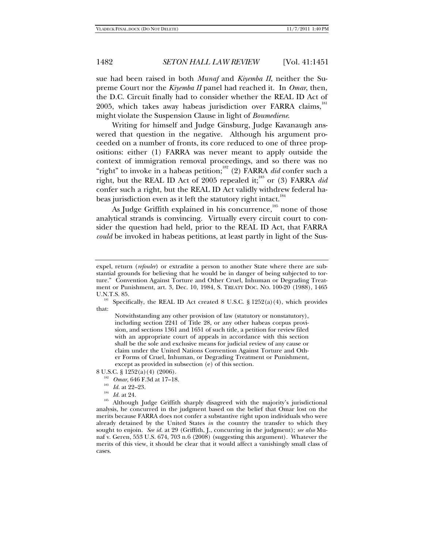sue had been raised in both *Munaf* and *Kiyemba II*, neither the Supreme Court nor the *Kiyemba II* panel had reached it. In *Omar*, then, the D.C. Circuit finally had to consider whether the REAL ID Act of 2005, which takes away habeas jurisdiction over FARRA claims,<sup>181</sup> might violate the Suspension Clause in light of *Boumediene*.

Writing for himself and Judge Ginsburg, Judge Kavanaugh answered that question in the negative. Although his argument proceeded on a number of fronts, its core reduced to one of three propositions: either (1) FARRA was never meant to apply outside the context of immigration removal proceedings, and so there was no "right" to invoke in a habeas petition;<sup>182</sup> (2) FARRA *did* confer such a right, but the REAL ID Act of 2005 repealed it;<sup>183</sup> or (3) FARRA *did* confer such a right, but the REAL ID Act validly withdrew federal habeas jurisdiction even as it left the statutory right intact.<sup>184</sup>

As Judge Griffith explained in his concurrence, $185$  none of those analytical strands is convincing. Virtually every circuit court to consider the question had held, prior to the REAL ID Act, that FARRA *could* be invoked in habeas petitions, at least partly in light of the Sus-

Notwithstanding any other provision of law (statutory or nonstatutory), including section 2241 of Title 28, or any other habeas corpus provision, and sections 1361 and 1651 of such title, a petition for review filed with an appropriate court of appeals in accordance with this section shall be the sole and exclusive means for judicial review of any cause or claim under the United Nations Convention Against Torture and Other Forms of Cruel, Inhuman, or Degrading Treatment or Punishment, except as provided in subsection (e) of this section.

- 
- 
- 

8 U.S.C. § 1252(a)(4) (2006).<br><sup>182</sup> *Omar*, 646 F.3d at 17–18.<br><sup>183</sup> *Id.* at 22–23.<br><sup>184</sup> *Id.* at 24.<br><sup>185</sup> Although Judge Griffith sharply disagreed with the majority's jurisdictional analysis, he concurred in the judgment based on the belief that Omar lost on the merits because FARRA does not confer a substantive right upon individuals who were already detained by the United States *in* the country the transfer to which they sought to enjoin. *See id.* at 29 (Griffith, J., concurring in the judgment); *see also* Munaf v. Geren, 553 U.S. 674, 703 n.6 (2008) (suggesting this argument). Whatever the merits of this view, it should be clear that it would affect a vanishingly small class of cases.

expel, return (*refouler*) or extradite a person to another State where there are substantial grounds for believing that he would be in danger of being subjected to torture." Convention Against Torture and Other Cruel, Inhuman or Degrading Treatment or Punishment, art. 3, Dec. 10, 1984, S. TREATY DOC. NO. 100-20 (1988), 1465

<sup>&</sup>lt;sup>181</sup> Specifically, the REAL ID Act created 8 U.S.C. § 1252(a)(4), which provides that: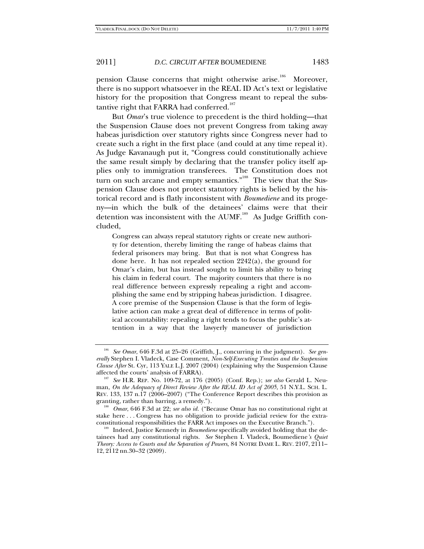pension Clause concerns that might otherwise arise.<sup>186</sup> Moreover, there is no support whatsoever in the REAL ID Act's text or legislative history for the proposition that Congress meant to repeal the substantive right that FARRA had conferred.<sup>187</sup>

But *Omar*'s true violence to precedent is the third holding—that the Suspension Clause does not prevent Congress from taking away habeas jurisdiction over statutory rights since Congress never had to create such a right in the first place (and could at any time repeal it). As Judge Kavanaugh put it, "Congress could constitutionally achieve the same result simply by declaring that the transfer policy itself applies only to immigration transferees. The Constitution does not turn on such arcane and empty semantics."<sup>188</sup> The view that the Suspension Clause does not protect statutory rights is belied by the historical record and is flatly inconsistent with *Boumediene* and its progeny—in which the bulk of the detainees' claims were that their detention was inconsistent with the  $AUMF$ <sup>189</sup> As Judge Griffith concluded,

Congress can always repeal statutory rights or create new authority for detention, thereby limiting the range of habeas claims that federal prisoners may bring. But that is not what Congress has done here. It has not repealed section 2242(a), the ground for Omar's claim, but has instead sought to limit his ability to bring his claim in federal court. The majority counters that there is no real difference between expressly repealing a right and accomplishing the same end by stripping habeas jurisdiction. I disagree. A core premise of the Suspension Clause is that the form of legislative action can make a great deal of difference in terms of political accountability: repealing a right tends to focus the public's attention in a way that the lawyerly maneuver of jurisdiction

<sup>186</sup> *See Omar*, 646 F.3d at 25–26 (Griffith, J., concurring in the judgment). *See generally* Stephen I. Vladeck, Case Comment, *Non-Self-Executing Treaties and the Suspension Clause After* St. Cyr, 113 YALE L.J. 2007 (2004) (explaining why the Suspension Clause

affected the courts' analysis of FARRA). 187 *See* H.R. REP. No. 109-72, at 176 (2005) (Conf. Rep.); *see also* Gerald L. Neuman, *On the Adequacy of Direct Review After the REAL ID Act of 2005*, 51 N.Y.L. SCH. L. REV. 133, 137 n.17 (2006–2007) ("The Conference Report describes this provision as

granting, rather than barring, a remedy.").<br><sup>188</sup> *Omar*, 646 F.3d at 22; *see also id.* ("Because Omar has no constitutional right at stake here ... Congress has no obligation to provide judicial review for the extra-constitutional responsibilities the FARR Act imposes on the Executive Branch.").

<sup>&</sup>lt;sup>189</sup> Indeed, Justice Kennedy in *Boumediene* specifically avoided holding that the detainees had any constitutional rights. *See* Stephen I. Vladeck, Boumediene*'s Quiet Theory: Access to Courts and the Separation of Powers*, 84 NOTRE DAME L. REV. 2107, 2111– 12, 2112 nn.30–32 (2009).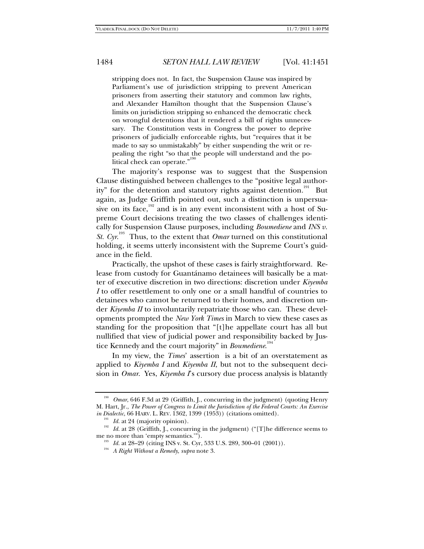stripping does not. In fact, the Suspension Clause was inspired by Parliament's use of jurisdiction stripping to prevent American prisoners from asserting their statutory and common law rights, and Alexander Hamilton thought that the Suspension Clause's limits on jurisdiction stripping so enhanced the democratic check on wrongful detentions that it rendered a bill of rights unnecessary. The Constitution vests in Congress the power to deprive prisoners of judicially enforceable rights, but "requires that it be made to say so unmistakably" by either suspending the writ or repealing the right "so that the people will understand and the political check can operate."<sup>190</sup>

The majority's response was to suggest that the Suspension Clause distinguished between challenges to the "positive legal authority" for the detention and statutory rights against detention.<sup>191</sup> But again, as Judge Griffith pointed out, such a distinction is unpersuasive on its face,<sup>192</sup> and is in any event inconsistent with a host of Supreme Court decisions treating the two classes of challenges identically for Suspension Clause purposes, including *Boumediene* and *INS v. St. Cyr.*<sup>193</sup> Thus, to the extent that *Omar* turned on this constitutional holding, it seems utterly inconsistent with the Supreme Court's guidance in the field.

Practically, the upshot of these cases is fairly straightforward. Release from custody for Guantánamo detainees will basically be a matter of executive discretion in two directions: discretion under *Kiyemba I* to offer resettlement to only one or a small handful of countries to detainees who cannot be returned to their homes, and discretion under *Kiyemba II* to involuntarily repatriate those who can. These developments prompted the *New York Times* in March to view these cases as standing for the proposition that "[t]he appellate court has all but nullified that view of judicial power and responsibility backed by Justice Kennedy and the court majority" in *Boumediene*. 194

In my view, the *Times*' assertion is a bit of an overstatement as applied to *Kiyemba I* and *Kiyemba II*, but not to the subsequent decision in *Omar*. Yes, *Kiyemba I*'s cursory due process analysis is blatantly

<sup>190</sup> *Omar*, 646 F.3d at 29 (Griffith, J., concurring in the judgment) (quoting Henry M. Hart, Jr., *The Power of Congress to Limit the Jurisdiction of the Federal Courts: An Exercise* 

<sup>&</sup>lt;sup>191</sup> *Id.* at 24 (majority opinion).<br><sup>192</sup> *Id.* at 28 (Griffith, J., concurring in the judgment) ("[T]he difference seems to<br>me no more than 'empty semantics.").

<sup>&</sup>lt;sup>193</sup> Id. at 28–29 (citing INS v. St. Cyr, 533 U.S. 289, 300–01 (2001)).

<sup>194</sup> *A Right Without a Remedy*, *supra* note 3.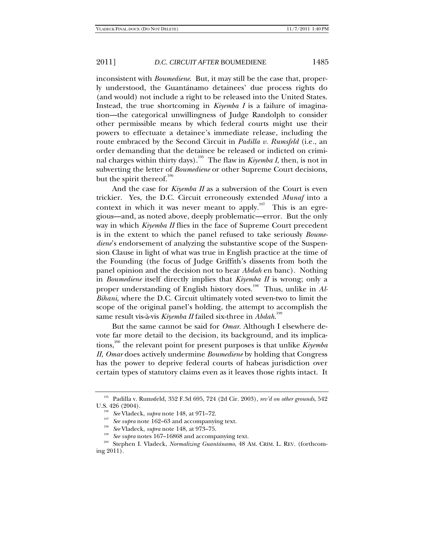inconsistent with *Boumediene*. But, it may still be the case that, properly understood, the Guantánamo detainees' due process rights do (and would) not include a right to be released into the United States. Instead, the true shortcoming in *Kiyemba I* is a failure of imagination—the categorical unwillingness of Judge Randolph to consider other permissible means by which federal courts might use their powers to effectuate a detainee's immediate release, including the route embraced by the Second Circuit in *Padilla v. Rumsfeld* (i.e*.*, an order demanding that the detainee be released or indicted on criminal charges within thirty days).<sup>195</sup> The flaw in *Kiyemba I*, then, is not in subverting the letter of *Boumediene* or other Supreme Court decisions, but the spirit thereof. $196$ 

And the case for *Kiyemba II* as a subversion of the Court is even trickier. Yes, the D.C. Circuit erroneously extended *Munaf* into a context in which it was never meant to apply.<sup>197</sup> This is an egregious—and, as noted above, deeply problematic—error. But the only way in which *Kiyemba II* flies in the face of Supreme Court precedent is in the extent to which the panel refused to take seriously *Boumediene*'s endorsement of analyzing the substantive scope of the Suspension Clause in light of what was true in English practice at the time of the Founding (the focus of Judge Griffith's dissents from both the panel opinion and the decision not to hear *Abdah* en banc). Nothing in *Boumediene* itself directly implies that *Kiyemba II* is wrong; only a proper understanding of English history does.<sup>198</sup> Thus, unlike in *Al-Bihani*, where the D.C. Circuit ultimately voted seven-two to limit the scope of the original panel's holding, the attempt to accomplish the same result vis-à-vis *Kiyemba II* failed six-three in *Abdah*. 199

But the same cannot be said for *Omar*. Although I elsewhere devote far more detail to the decision, its background, and its implications,200 the relevant point for present purposes is that unlike *Kiyemba II*, *Omar* does actively undermine *Boumediene* by holding that Congress has the power to deprive federal courts of habeas jurisdiction over certain types of statutory claims even as it leaves those rights intact. It

<sup>195</sup> Padilla v. Rumsfeld, 352 F.3d 695, 724 (2d Cir. 2003), *rev'd on other grounds*, 542 U.S. 426 (2004).<br>
<sup>196</sup> See Vladeck, *supra* note 148, at 971–72.<br>
<sup>197</sup> See supra note 162–63 and accompanying text.<br>
<sup>198</sup> See Vladeck, *supra* note 148, at 973–75.<br>
<sup>199</sup> See supra notes 167–16868 and accompanying text

ing 2011).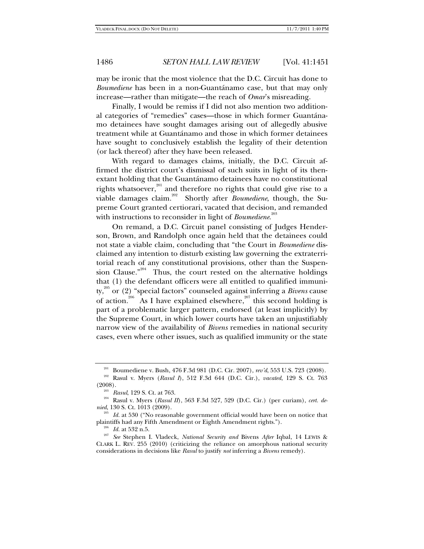may be ironic that the most violence that the D.C. Circuit has done to *Boumediene* has been in a non-Guantánamo case, but that may only increase—rather than mitigate—the reach of *Omar*'s misreading.

Finally, I would be remiss if I did not also mention two additional categories of "remedies" cases—those in which former Guantánamo detainees have sought damages arising out of allegedly abusive treatment while at Guantánamo and those in which former detainees have sought to conclusively establish the legality of their detention (or lack thereof) after they have been released.

With regard to damages claims, initially, the D.C. Circuit affirmed the district court's dismissal of such suits in light of its thenextant holding that the Guantánamo detainees have no constitutional rights whatsoever,<sup>201</sup> and therefore no rights that could give rise to a viable damages claim.<sup>202</sup> Shortly after *Boumediene*, though, the Supreme Court granted certiorari, vacated that decision, and remanded with instructions to reconsider in light of *Boumediene*. 203

On remand, a D.C. Circuit panel consisting of Judges Henderson, Brown, and Randolph once again held that the detainees could not state a viable claim, concluding that "the Court in *Boumediene* disclaimed any intention to disturb existing law governing the extraterritorial reach of any constitutional provisions, other than the Suspension Clause." $204$  Thus, the court rested on the alternative holdings that (1) the defendant officers were all entitled to qualified immunity,205 or (2) "special factors" counseled against inferring a *Bivens* cause of action.<sup>206</sup> As I have explained elsewhere,<sup>207</sup> this second holding is part of a problematic larger pattern, endorsed (at least implicitly) by the Supreme Court, in which lower courts have taken an unjustifiably narrow view of the availability of *Bivens* remedies in national security cases, even where other issues, such as qualified immunity or the state

<sup>201</sup> Boumediene v. Bush, 476 F.3d 981 (D.C. Cir. 2007), *rev'd*, 553 U.S. 723 (2008). 202 Rasul v. Myers (*Rasul I*), 512 F.3d 644 (D.C. Cir.), *vacated*, 129 S. Ct. 763

<sup>(2008). 203</sup> *Rasul*, 129 S. Ct. at 763. 204 Rasul v. Myers (*Rasul II*), 563 F.3d 527, 529 (D.C. Cir.) (per curiam), *cert. denied*, 130 S. Ct. 1013 (2009).

<sup>&</sup>lt;sup>205</sup> Id. at 530 ("No reasonable government official would have been on notice that plaintiffs had any Fifth Amendment or Eighth Amendment rights.").

plaintiffs had any Fifth Amendment or Eighth Amendment rights."). 206 *Id.* at 532 n.5. 207 *See* Stephen I. Vladeck, *National Security and* Bivens *After* Iqbal, 14 LEWIS & CLARK L. REV. 255 (2010) (criticizing the reliance on amorphous national security considerations in decisions like *Rasul* to justify *not* inferring a *Bivens* remedy).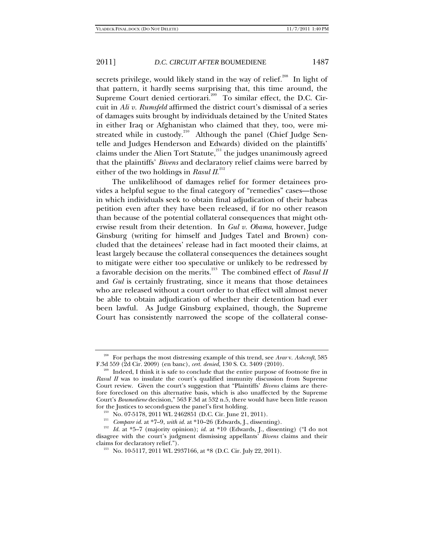secrets privilege, would likely stand in the way of relief.<sup>208</sup> In light of that pattern, it hardly seems surprising that, this time around, the Supreme Court denied certiorari.<sup>209</sup> To similar effect, the D.C. Circuit in *Ali v. Rumsfeld* affirmed the district court's dismissal of a series of damages suits brought by individuals detained by the United States in either Iraq or Afghanistan who claimed that they, too, were mistreated while in custody.<sup>210</sup> Although the panel (Chief Judge Sentelle and Judges Henderson and Edwards) divided on the plaintiffs' claims under the Alien Tort Statute, $211$  the judges unanimously agreed that the plaintiffs' *Bivens* and declaratory relief claims were barred by either of the two holdings in *Rasul II*.<sup>212</sup>

The unlikelihood of damages relief for former detainees provides a helpful segue to the final category of "remedies" cases—those in which individuals seek to obtain final adjudication of their habeas petition even after they have been released, if for no other reason than because of the potential collateral consequences that might otherwise result from their detention. In *Gul v. Obama*, however, Judge Ginsburg (writing for himself and Judges Tatel and Brown) concluded that the detainees' release had in fact mooted their claims, at least largely because the collateral consequences the detainees sought to mitigate were either too speculative or unlikely to be redressed by a favorable decision on the merits.213 The combined effect of *Rasul II* and *Gul* is certainly frustrating, since it means that those detainees who are released without a court order to that effect will almost never be able to obtain adjudication of whether their detention had ever been lawful. As Judge Ginsburg explained, though, the Supreme Court has consistently narrowed the scope of the collateral conse-

<sup>208</sup> For perhaps the most distressing example of this trend, see *Arar* v. *Ashcroft*, 585 F.3d 559 (2d Cir. 2009) (en banc), *cert. denied*, 130 S. Ct. 3409 (2010).<br><sup>209</sup> Indeed, I think it is safe to conclude that the entire purpose of footnote five in

*Rasul II* was to insulate the court's qualified immunity discussion from Supreme Court review. Given the court's suggestion that "Plaintiffs' *Bivens* claims are therefore foreclosed on this alternative basis, which is also unaffected by the Supreme Court's *Boumediene* decision," 563 F.3d at 532 n.5, there would have been little reason

<sup>&</sup>lt;sup>210</sup> No. 07-5178, 2011 WL 2462851 (D.C. Cir. June 21, 2011).<br><sup>211</sup> *Compare id.* at \*7–9, *with id.* at \*10–26 (Edwards, J., dissenting).<br><sup>212</sup> *Id.* at \*5–7 (majority opinion); *id.* at \*10 (Edwards, J., dissenting) ("I disagree with the court's judgment dismissing appellants' *Bivens* claims and their claims for declaratory relief.").<br><sup>213</sup> No. 10-5117, 2011 WL 2937166, at \*8 (D.C. Cir. July 22, 2011).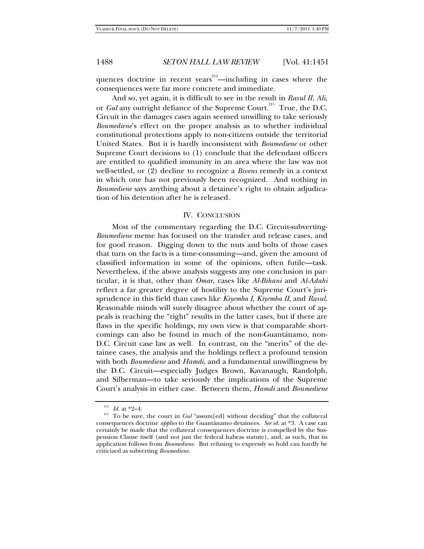quences doctrine in recent years $2^{14}$ —including in cases where the consequences were far more concrete and immediate.

And so, yet again, it is difficult to see in the result in *Rasul II*, *Ali*, or *Gul* any outright defiance of the Supreme Court.<sup>215</sup> True, the D.C. Circuit in the damages cases again seemed unwilling to take seriously *Boumediene*'s effect on the proper analysis as to whether individual constitutional protections apply to non-citizens outside the territorial United States. But it is hardly inconsistent with *Boumediene* or other Supreme Court decisions to (1) conclude that the defendant officers are entitled to qualified immunity in an area where the law was not well-settled, or (2) decline to recognize a *Bivens* remedy in a context in which one has not previously been recognized. And nothing in *Boumediene* says anything about a detainee's right to obtain adjudication of his detention after he is released.

### IV. CONCLUSION

Most of the commentary regarding the D.C. Circuit-subverting-*Boumediene* meme has focused on the transfer and release cases, and for good reason. Digging down to the nuts and bolts of those cases that turn on the facts is a time-consuming—and, given the amount of classified information in some of the opinions, often futile—task. Nevertheless, if the above analysis suggests any one conclusion in particular, it is that, other than *Omar*, cases like *Al-Bihani* and *Al-Adahi*  reflect a far greater degree of hostility to the Supreme Court's jurisprudence in this field than cases like *Kiyemba I*, *Kiyemba II*, and *Rasul*. Reasonable minds will surely disagree about whether the court of appeals is reaching the "right" results in the latter cases, but if there are flaws in the specific holdings, my own view is that comparable shortcomings can also be found in much of the non-Guantánamo, non-D.C. Circuit case law as well. In contrast, on the "merits" of the detainee cases, the analysis and the holdings reflect a profound tension with both *Boumediene* and *Hamdi*, and a fundamental unwillingness by the D.C. Circuit—especially Judges Brown, Kavanaugh, Randolph, and Silberman—to take seriously the implications of the Supreme Court's analysis in either case. Between them, *Hamdi* and *Boumediene*

<sup>&</sup>lt;sup>214</sup> *Id.* at \*2–4.<br><sup>215</sup> To be sure, the court in *Gul* "assum[ed] without deciding" that the collateral consequences doctrine *applies* to the Guantánamo detainees. *See id.* at \*3. A case can certainly be made that the collateral consequences doctrine is compelled by the Suspension Clause itself (and not just the federal habeas statute), and, as such, that its application follows from *Boumediene*. But refusing to expressly so hold can hardly be criticized as subverting *Boumediene*.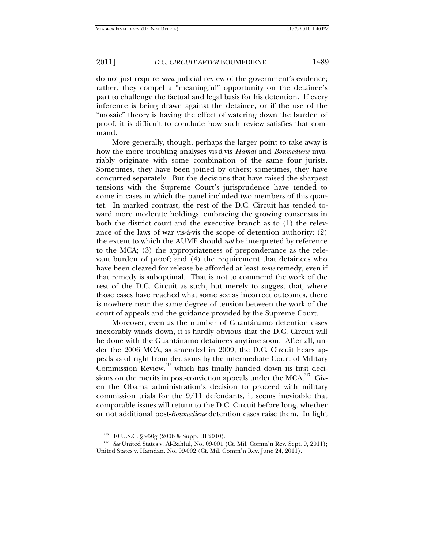do not just require *some* judicial review of the government's evidence; rather, they compel a "meaningful" opportunity on the detainee's part to challenge the factual and legal basis for his detention. If every inference is being drawn against the detainee, or if the use of the "mosaic" theory is having the effect of watering down the burden of proof, it is difficult to conclude how such review satisfies that command.

More generally, though, perhaps the larger point to take away is how the more troubling analyses vis-à-vis *Hamdi* and *Boumediene* invariably originate with some combination of the same four jurists. Sometimes, they have been joined by others; sometimes, they have concurred separately. But the decisions that have raised the sharpest tensions with the Supreme Court's jurisprudence have tended to come in cases in which the panel included two members of this quartet. In marked contrast, the rest of the D.C. Circuit has tended toward more moderate holdings, embracing the growing consensus in both the district court and the executive branch as to (1) the relevance of the laws of war vis-à-vis the scope of detention authority; (2) the extent to which the AUMF should *not* be interpreted by reference to the MCA; (3) the appropriateness of preponderance as the relevant burden of proof; and (4) the requirement that detainees who have been cleared for release be afforded at least *some* remedy, even if that remedy is suboptimal. That is not to commend the work of the rest of the D.C. Circuit as such, but merely to suggest that, where those cases have reached what some see as incorrect outcomes, there is nowhere near the same degree of tension between the work of the court of appeals and the guidance provided by the Supreme Court.

Moreover, even as the number of Guantánamo detention cases inexorably winds down, it is hardly obvious that the D.C. Circuit will be done with the Guantánamo detainees anytime soon. After all, under the 2006 MCA, as amended in 2009, the D.C. Circuit hears appeals as of right from decisions by the intermediate Court of Military Commission Review,<sup>216</sup> which has finally handed down its first decisions on the merits in post-conviction appeals under the  $MCA$ <sup>217</sup> Given the Obama administration's decision to proceed with military commission trials for the 9/11 defendants, it seems inevitable that comparable issues will return to the D.C. Circuit before long, whether or not additional post-*Boumediene* detention cases raise them. In light

<sup>216</sup> 10 U.S.C. § 950g (2006 & Supp. III 2010). 217 *See* United States v. Al-Bahlul, No. 09-001 (Ct. Mil. Comm'n Rev. Sept. 9, 2011); United States v. Hamdan, No. 09-002 (Ct. Mil. Comm'n Rev. June 24, 2011).